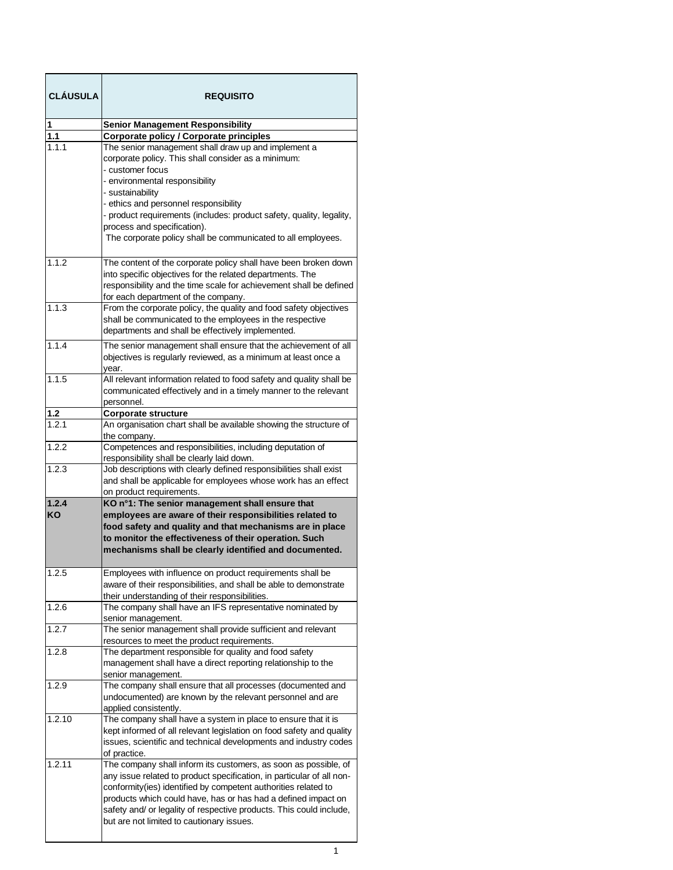| <b>CLÁUSULA</b> | <b>REQUISITO</b>                                                                                                                         |
|-----------------|------------------------------------------------------------------------------------------------------------------------------------------|
| 1               | <b>Senior Management Responsibility</b>                                                                                                  |
| 1.1             | <b>Corporate policy / Corporate principles</b>                                                                                           |
| 1.1.1           | The senior management shall draw up and implement a<br>corporate policy. This shall consider as a minimum:                               |
|                 | - customer focus<br>- environmental responsibility                                                                                       |
|                 | - sustainability                                                                                                                         |
|                 | - ethics and personnel responsibility<br>- product requirements (includes: product safety, quality, legality,                            |
|                 | process and specification).                                                                                                              |
|                 | The corporate policy shall be communicated to all employees.                                                                             |
| 1.1.2           | The content of the corporate policy shall have been broken down                                                                          |
|                 | into specific objectives for the related departments. The                                                                                |
|                 | responsibility and the time scale for achievement shall be defined<br>for each department of the company.                                |
| 1.1.3           | From the corporate policy, the quality and food safety objectives                                                                        |
|                 | shall be communicated to the employees in the respective<br>departments and shall be effectively implemented.                            |
| 1.1.4           | The senior management shall ensure that the achievement of all                                                                           |
|                 | objectives is regularly reviewed, as a minimum at least once a<br>year.                                                                  |
| 1.1.5           | All relevant information related to food safety and quality shall be                                                                     |
|                 | communicated effectively and in a timely manner to the relevant                                                                          |
| <u>1.2</u>      | personnel.<br>Corporate structure                                                                                                        |
| 1.2.1           | An organisation chart shall be available showing the structure of                                                                        |
|                 | the company.                                                                                                                             |
| 1.2.2           | Competences and responsibilities, including deputation of<br>responsibility shall be clearly laid down.                                  |
| 1.2.3           | Job descriptions with clearly defined responsibilities shall exist                                                                       |
|                 | and shall be applicable for employees whose work has an effect<br>on product requirements.                                               |
| 1.2.4           | KO n°1: The senior management shall ensure that                                                                                          |
| KO              | employees are aware of their responsibilities related to<br>food safety and quality and that mechanisms are in place                     |
|                 | to monitor the effectiveness of their operation. Such                                                                                    |
|                 | mechanisms shall be clearly identified and documented.                                                                                   |
| 1.2.5           | Employees with influence on product requirements shall be                                                                                |
|                 | aware of their responsibilities, and shall be able to demonstrate                                                                        |
| 1.2.6           | their understanding of their responsibilities.<br>The company shall have an IFS representative nominated by                              |
|                 | senior management.                                                                                                                       |
| 1.2.7           | The senior management shall provide sufficient and relevant                                                                              |
| 1.2.8           | resources to meet the product requirements.<br>The department responsible for quality and food safety                                    |
|                 | management shall have a direct reporting relationship to the<br>senior management.                                                       |
| 1.2.9           | The company shall ensure that all processes (documented and                                                                              |
|                 | undocumented) are known by the relevant personnel and are<br>applied consistently.                                                       |
| 1.2.10          | The company shall have a system in place to ensure that it is                                                                            |
|                 | kept informed of all relevant legislation on food safety and quality<br>issues, scientific and technical developments and industry codes |
| 1.2.11          | of practice.<br>The company shall inform its customers, as soon as possible, of                                                          |
|                 | any issue related to product specification, in particular of all non-                                                                    |
|                 | conformity(ies) identified by competent authorities related to                                                                           |
|                 | products which could have, has or has had a defined impact on                                                                            |
|                 | safety and/ or legality of respective products. This could include,                                                                      |
|                 | but are not limited to cautionary issues.                                                                                                |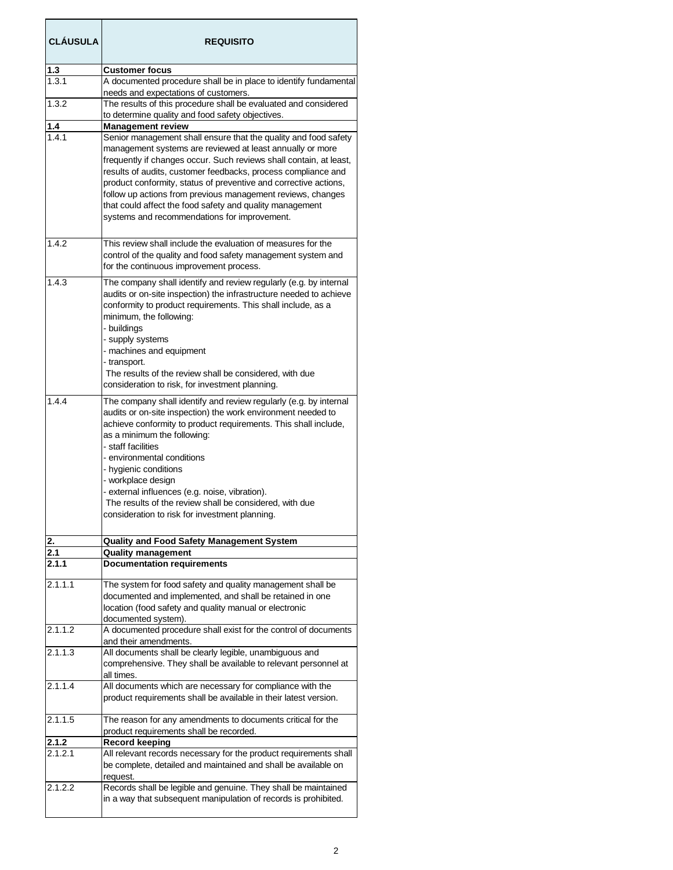| <b>CLÁUSULA</b>     | <b>REQUISITO</b>                                                                                                   |
|---------------------|--------------------------------------------------------------------------------------------------------------------|
| $\frac{1.3}{1.3.1}$ | <b>Customer focus</b>                                                                                              |
|                     | A documented procedure shall be in place to identify fundamental                                                   |
|                     | needs and expectations of customers.                                                                               |
| 1.3.2               | The results of this procedure shall be evaluated and considered                                                    |
|                     | to determine quality and food safety objectives.                                                                   |
| $1.4$               | <b>Management review</b>                                                                                           |
| 1.4.1               | Senior management shall ensure that the quality and food safety                                                    |
|                     | management systems are reviewed at least annually or more                                                          |
|                     | frequently if changes occur. Such reviews shall contain, at least,                                                 |
|                     | results of audits, customer feedbacks, process compliance and                                                      |
|                     | product conformity, status of preventive and corrective actions,                                                   |
|                     | follow up actions from previous management reviews, changes                                                        |
|                     | that could affect the food safety and quality management                                                           |
|                     | systems and recommendations for improvement.                                                                       |
|                     |                                                                                                                    |
| 1.4.2               | This review shall include the evaluation of measures for the                                                       |
|                     | control of the quality and food safety management system and                                                       |
|                     | for the continuous improvement process.                                                                            |
| 1.4.3               | The company shall identify and review regularly (e.g. by internal                                                  |
|                     | audits or on-site inspection) the infrastructure needed to achieve                                                 |
|                     | conformity to product requirements. This shall include, as a                                                       |
|                     | minimum, the following:                                                                                            |
|                     | - buildings<br>- supply systems                                                                                    |
|                     | - machines and equipment                                                                                           |
|                     | - transport.                                                                                                       |
|                     | The results of the review shall be considered, with due                                                            |
|                     | consideration to risk, for investment planning.                                                                    |
| 1.4.4               | The company shall identify and review regularly (e.g. by internal                                                  |
|                     | audits or on-site inspection) the work environment needed to                                                       |
|                     | achieve conformity to product requirements. This shall include,                                                    |
|                     | as a minimum the following:                                                                                        |
|                     | - staff facilities                                                                                                 |
|                     | - environmental conditions                                                                                         |
|                     | - hygienic conditions                                                                                              |
|                     | - workplace design                                                                                                 |
|                     | - external influences (e.g. noise, vibration).<br>The results of the review shall be considered, with due          |
|                     |                                                                                                                    |
|                     | consideration to risk for investment planning.                                                                     |
| <u>2.</u>           | <b>Quality and Food Safety Management System</b>                                                                   |
| 2.1                 | <b>Quality management</b>                                                                                          |
| 2.1.1               | <b>Documentation requirements</b>                                                                                  |
|                     |                                                                                                                    |
| 2.1.1.1             | The system for food safety and quality management shall be                                                         |
|                     | documented and implemented, and shall be retained in one<br>location (food safety and quality manual or electronic |
|                     | documented system).                                                                                                |
| 2.1.1.2             | A documented procedure shall exist for the control of documents                                                    |
|                     | and their amendments.                                                                                              |
| 2.1.1.3             | All documents shall be clearly legible, unambiguous and                                                            |
|                     | comprehensive. They shall be available to relevant personnel at                                                    |
|                     | all times.                                                                                                         |
| 2.1.1.4             | All documents which are necessary for compliance with the                                                          |
|                     | product requirements shall be available in their latest version.                                                   |
| 2.1.1.5             | The reason for any amendments to documents critical for the                                                        |
|                     | product requirements shall be recorded.                                                                            |
| 2.1.2               | <b>Record keeping</b>                                                                                              |
| 2.1.2.1             | All relevant records necessary for the product requirements shall                                                  |
|                     | be complete, detailed and maintained and shall be available on                                                     |
|                     | request.                                                                                                           |
| 2.1.2.2             | Records shall be legible and genuine. They shall be maintained                                                     |
|                     | in a way that subsequent manipulation of records is prohibited.                                                    |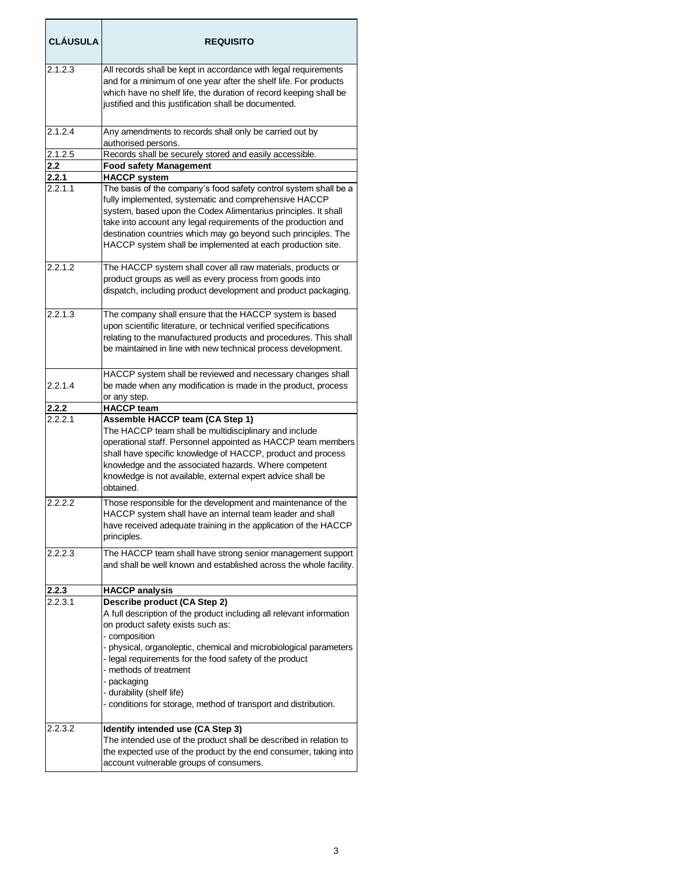| <b>CLAUSULA</b> | <b>REQUISITO</b>                                                                                                                                                                                                                                                                                                                                                                                                                    |
|-----------------|-------------------------------------------------------------------------------------------------------------------------------------------------------------------------------------------------------------------------------------------------------------------------------------------------------------------------------------------------------------------------------------------------------------------------------------|
| 2.1.2.3         | All records shall be kept in accordance with legal requirements<br>and for a minimum of one year after the shelf life. For products<br>which have no shelf life, the duration of record keeping shall be<br>justified and this justification shall be documented.                                                                                                                                                                   |
| 2.1.2.4         | Any amendments to records shall only be carried out by<br>authorised persons.                                                                                                                                                                                                                                                                                                                                                       |
| 2.1.2.5         | Records shall be securely stored and easily accessible.                                                                                                                                                                                                                                                                                                                                                                             |
| 2.2<br>2.2.1    | <b>Food safety Management</b><br><b>HACCP system</b>                                                                                                                                                                                                                                                                                                                                                                                |
| 2.2.1.1         | The basis of the company's food safety control system shall be a<br>fully implemented, systematic and comprehensive HACCP<br>system, based upon the Codex Alimentarius principles. It shall<br>take into account any legal requirements of the production and<br>destination countries which may go beyond such principles. The<br>HACCP system shall be implemented at each production site.                                       |
| 2.2.1.2         | The HACCP system shall cover all raw materials, products or<br>product groups as well as every process from goods into<br>dispatch, including product development and product packaging.                                                                                                                                                                                                                                            |
| 2.2.1.3         | The company shall ensure that the HACCP system is based<br>upon scientific literature, or technical verified specifications<br>relating to the manufactured products and procedures. This shall<br>be maintained in line with new technical process development.                                                                                                                                                                    |
| 2.2.1.4         | HACCP system shall be reviewed and necessary changes shall<br>be made when any modification is made in the product, process<br>or any step.                                                                                                                                                                                                                                                                                         |
| 2.2.2           | <b>HACCP team</b>                                                                                                                                                                                                                                                                                                                                                                                                                   |
| 2.2.2.1         | Assemble HACCP team (CA Step 1)<br>The HACCP team shall be multidisciplinary and include<br>operational staff. Personnel appointed as HACCP team members<br>shall have specific knowledge of HACCP, product and process<br>knowledge and the associated hazards. Where competent<br>knowledge is not available, external expert advice shall be<br>obtained.                                                                        |
| 2.2.2.2         | Those responsible for the development and maintenance of the<br>HACCP system shall have an internal team leader and shall<br>have received adequate training in the application of the HACCP<br>principles.                                                                                                                                                                                                                         |
| 2.2.2.3         | The HACCP team shall have strong senior management support<br>and shall be well known and established across the whole facility.                                                                                                                                                                                                                                                                                                    |
| 2.2.3           | <b>HACCP analysis</b>                                                                                                                                                                                                                                                                                                                                                                                                               |
| 2.2.3.1         | Describe product (CA Step 2)<br>A full description of the product including all relevant information<br>on product safety exists such as:<br>- composition<br>- physical, organoleptic, chemical and microbiological parameters<br>- legal requirements for the food safety of the product<br>- methods of treatment<br>- packaging<br>- durability (shelf life)<br>- conditions for storage, method of transport and distribution. |
| 2.2.3.2         | Identify intended use (CA Step 3)<br>The intended use of the product shall be described in relation to<br>the expected use of the product by the end consumer, taking into<br>account vulnerable groups of consumers.                                                                                                                                                                                                               |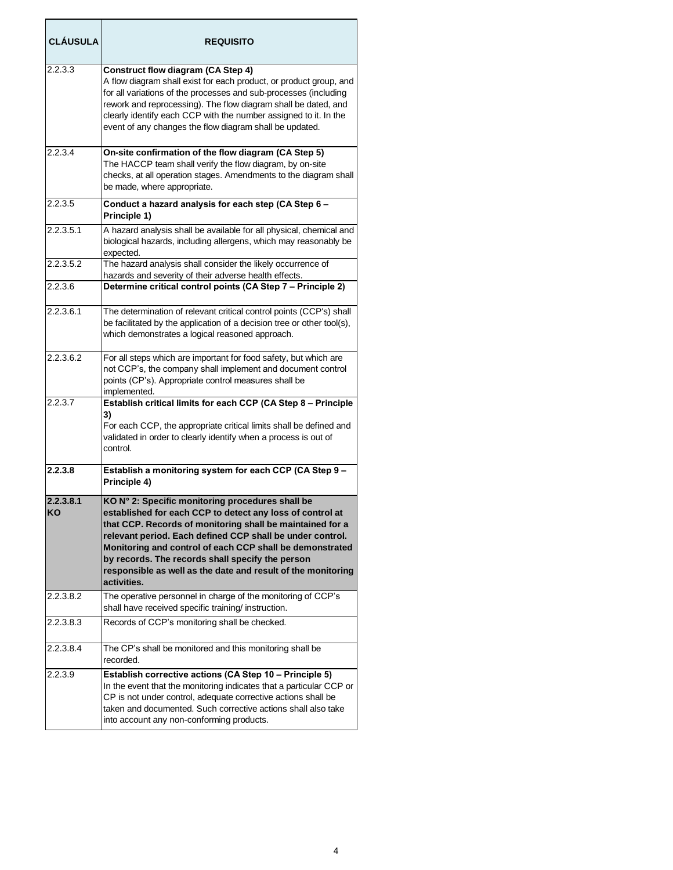| <b>CLÁUSULA</b> | <b>REQUISITO</b>                                                                                                                                                                                                                                                                                                                                                                                                                       |
|-----------------|----------------------------------------------------------------------------------------------------------------------------------------------------------------------------------------------------------------------------------------------------------------------------------------------------------------------------------------------------------------------------------------------------------------------------------------|
| 2.2.3.3         | Construct flow diagram (CA Step 4)<br>A flow diagram shall exist for each product, or product group, and<br>for all variations of the processes and sub-processes (including<br>rework and reprocessing). The flow diagram shall be dated, and<br>clearly identify each CCP with the number assigned to it. In the<br>event of any changes the flow diagram shall be updated.                                                          |
| 2.2.3.4         | On-site confirmation of the flow diagram (CA Step 5)<br>The HACCP team shall verify the flow diagram, by on-site<br>checks, at all operation stages. Amendments to the diagram shall<br>be made, where appropriate.                                                                                                                                                                                                                    |
| 2.2.3.5         | Conduct a hazard analysis for each step (CA Step 6 -<br>Principle 1)                                                                                                                                                                                                                                                                                                                                                                   |
| 2.2.3.5.1       | A hazard analysis shall be available for all physical, chemical and<br>biological hazards, including allergens, which may reasonably be<br>expected.                                                                                                                                                                                                                                                                                   |
| 2.2.3.5.2       | The hazard analysis shall consider the likely occurrence of<br>hazards and severity of their adverse health effects.                                                                                                                                                                                                                                                                                                                   |
| 2.2.3.6         | Determine critical control points (CA Step 7 - Principle 2)                                                                                                                                                                                                                                                                                                                                                                            |
| 2.2.3.6.1       | The determination of relevant critical control points (CCP's) shall<br>be facilitated by the application of a decision tree or other tool(s),<br>which demonstrates a logical reasoned approach.                                                                                                                                                                                                                                       |
| 2.2.3.6.2       | For all steps which are important for food safety, but which are<br>not CCP's, the company shall implement and document control<br>points (CP's). Appropriate control measures shall be<br>implemented.                                                                                                                                                                                                                                |
| 2.2.3.7         | Establish critical limits for each CCP (CA Step 8 - Principle<br>3)<br>For each CCP, the appropriate critical limits shall be defined and<br>validated in order to clearly identify when a process is out of<br>control.                                                                                                                                                                                                               |
| 2.2.3.8         | Establish a monitoring system for each CCP (CA Step 9 -<br>Principle 4)                                                                                                                                                                                                                                                                                                                                                                |
| 2.2.3.8.1<br>KO | KO N° 2: Specific monitoring procedures shall be<br>established for each CCP to detect any loss of control at<br>that CCP. Records of monitoring shall be maintained for a<br>relevant period. Each defined CCP shall be under control.<br>Monitoring and control of each CCP shall be demonstrated<br>by records. The records shall specify the person<br>responsible as well as the date and result of the monitoring<br>activities. |
| 2.2.3.8.2       | The operative personnel in charge of the monitoring of CCP's<br>shall have received specific training/ instruction.                                                                                                                                                                                                                                                                                                                    |
| 2.2.3.8.3       | Records of CCP's monitoring shall be checked.                                                                                                                                                                                                                                                                                                                                                                                          |
| 2.2.3.8.4       | The CP's shall be monitored and this monitoring shall be<br>recorded.                                                                                                                                                                                                                                                                                                                                                                  |
| 2.2.3.9         | Establish corrective actions (CA Step 10 - Principle 5)<br>In the event that the monitoring indicates that a particular CCP or<br>CP is not under control, adequate corrective actions shall be<br>taken and documented. Such corrective actions shall also take<br>into account any non-conforming products.                                                                                                                          |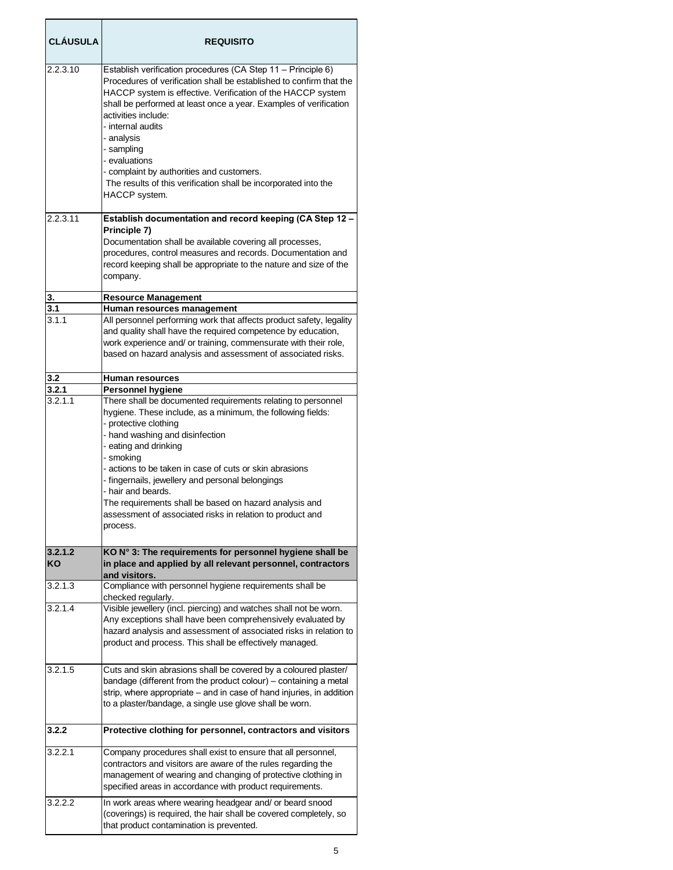| <b>CLÁUSULA</b> | <b>REQUISITO</b>                                                                                                                                                                                                                                                                                                                                                                                                                                                                                      |
|-----------------|-------------------------------------------------------------------------------------------------------------------------------------------------------------------------------------------------------------------------------------------------------------------------------------------------------------------------------------------------------------------------------------------------------------------------------------------------------------------------------------------------------|
| 2.2.3.10        | Establish verification procedures (CA Step 11 - Principle 6)<br>Procedures of verification shall be established to confirm that the<br>HACCP system is effective. Verification of the HACCP system<br>shall be performed at least once a year. Examples of verification<br>activities include:<br>- internal audits<br>- analysis<br>- sampling<br>- evaluations<br>- complaint by authorities and customers.<br>The results of this verification shall be incorporated into the<br>HACCP system.     |
| 2.2.3.11        | Establish documentation and record keeping (CA Step 12 -<br>Principle 7)<br>Documentation shall be available covering all processes,<br>procedures, control measures and records. Documentation and<br>record keeping shall be appropriate to the nature and size of the<br>company.                                                                                                                                                                                                                  |
| 3.              | <b>Resource Management</b>                                                                                                                                                                                                                                                                                                                                                                                                                                                                            |
| 3.1             | Human resources management                                                                                                                                                                                                                                                                                                                                                                                                                                                                            |
| 3.1.1           | All personnel performing work that affects product safety, legality<br>and quality shall have the required competence by education,<br>work experience and/ or training, commensurate with their role,<br>based on hazard analysis and assessment of associated risks.                                                                                                                                                                                                                                |
| 3.2             | Human resources                                                                                                                                                                                                                                                                                                                                                                                                                                                                                       |
| 3.2.1           | Personnel hygiene                                                                                                                                                                                                                                                                                                                                                                                                                                                                                     |
| 3.2.1.1         | There shall be documented requirements relating to personnel<br>hygiene. These include, as a minimum, the following fields:<br>- protective clothing<br>- hand washing and disinfection<br>- eating and drinking<br>- smoking<br>- actions to be taken in case of cuts or skin abrasions<br>- fingernails, jewellery and personal belongings<br>- hair and beards.<br>The requirements shall be based on hazard analysis and<br>assessment of associated risks in relation to product and<br>process. |
| 3.2.1.2<br>KO   | KO N° 3: The requirements for personnel hygiene shall be<br>in place and applied by all relevant personnel, contractors<br>and visitors.                                                                                                                                                                                                                                                                                                                                                              |
| 3.2.1.3         | Compliance with personnel hygiene requirements shall be<br>checked regularly.                                                                                                                                                                                                                                                                                                                                                                                                                         |
| 3.2.1.4         | Visible jewellery (incl. piercing) and watches shall not be worn.<br>Any exceptions shall have been comprehensively evaluated by<br>hazard analysis and assessment of associated risks in relation to<br>product and process. This shall be effectively managed.                                                                                                                                                                                                                                      |
| 3.2.1.5         | Cuts and skin abrasions shall be covered by a coloured plaster/<br>bandage (different from the product colour) - containing a metal<br>strip, where appropriate - and in case of hand injuries, in addition<br>to a plaster/bandage, a single use glove shall be worn.                                                                                                                                                                                                                                |
| 3.2.2           | Protective clothing for personnel, contractors and visitors                                                                                                                                                                                                                                                                                                                                                                                                                                           |
| 3.2.2.1         | Company procedures shall exist to ensure that all personnel,<br>contractors and visitors are aware of the rules regarding the<br>management of wearing and changing of protective clothing in<br>specified areas in accordance with product requirements.                                                                                                                                                                                                                                             |
| 3.2.2.2         | In work areas where wearing headgear and/ or beard snood<br>(coverings) is required, the hair shall be covered completely, so<br>that product contamination is prevented.                                                                                                                                                                                                                                                                                                                             |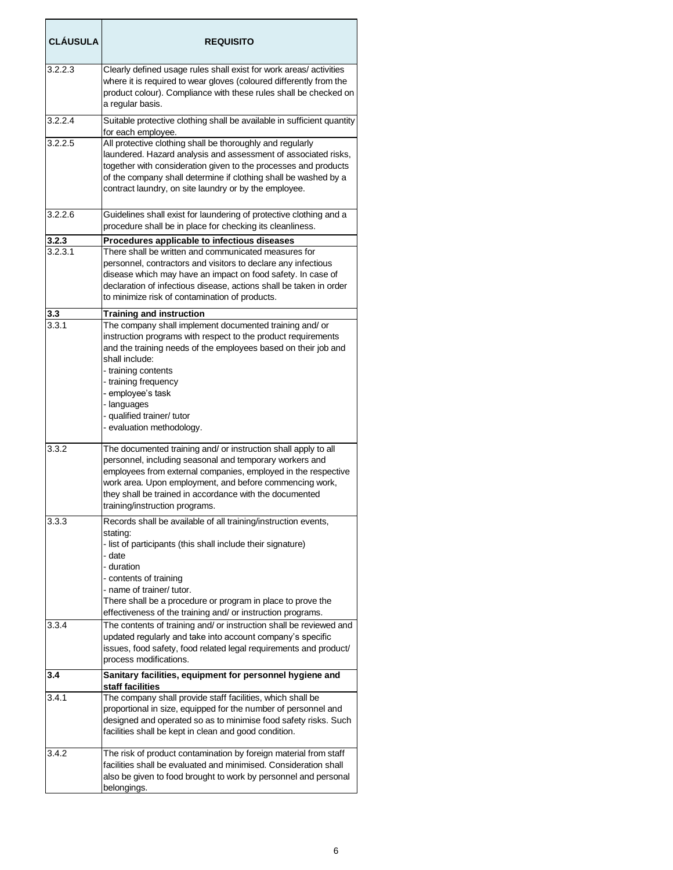| <b>CLAUSULA</b> | <b>REQUISITO</b>                                                                                                                                                                                                                                                                                                                                   |
|-----------------|----------------------------------------------------------------------------------------------------------------------------------------------------------------------------------------------------------------------------------------------------------------------------------------------------------------------------------------------------|
| 3.2.2.3         | Clearly defined usage rules shall exist for work areas/activities<br>where it is required to wear gloves (coloured differently from the<br>product colour). Compliance with these rules shall be checked on<br>a regular basis.                                                                                                                    |
| 3.2.2.4         | Suitable protective clothing shall be available in sufficient quantity<br>for each employee.                                                                                                                                                                                                                                                       |
| 3.2.2.5         | All protective clothing shall be thoroughly and regularly<br>laundered. Hazard analysis and assessment of associated risks,<br>together with consideration given to the processes and products<br>of the company shall determine if clothing shall be washed by a<br>contract laundry, on site laundry or by the employee.                         |
| 3.2.2.6         | Guidelines shall exist for laundering of protective clothing and a<br>procedure shall be in place for checking its cleanliness.                                                                                                                                                                                                                    |
| 3.2.3           | Procedures applicable to infectious diseases                                                                                                                                                                                                                                                                                                       |
| 3.2.3.1         | There shall be written and communicated measures for<br>personnel, contractors and visitors to declare any infectious<br>disease which may have an impact on food safety. In case of<br>declaration of infectious disease, actions shall be taken in order<br>to minimize risk of contamination of products.                                       |
| 3.3             | <b>Training and instruction</b>                                                                                                                                                                                                                                                                                                                    |
| 3.3.1           | The company shall implement documented training and/ or<br>instruction programs with respect to the product requirements<br>and the training needs of the employees based on their job and<br>shall include:<br>- training contents<br>- training frequency<br>- employee's task                                                                   |
|                 | - languages<br>- qualified trainer/ tutor<br>- evaluation methodology.                                                                                                                                                                                                                                                                             |
| 3.3.2           | The documented training and/ or instruction shall apply to all<br>personnel, including seasonal and temporary workers and<br>employees from external companies, employed in the respective<br>work area. Upon employment, and before commencing work,<br>they shall be trained in accordance with the documented<br>training/instruction programs. |
| 3.3.3           | Records shall be available of all training/instruction events,<br>stating:                                                                                                                                                                                                                                                                         |
|                 | - list of participants (this shall include their signature)<br>- date<br>- duration<br>- contents of training                                                                                                                                                                                                                                      |
|                 | - name of trainer/ tutor.<br>There shall be a procedure or program in place to prove the<br>effectiveness of the training and/ or instruction programs.                                                                                                                                                                                            |
| 3.3.4           | The contents of training and/ or instruction shall be reviewed and<br>updated regularly and take into account company's specific<br>issues, food safety, food related legal requirements and product/<br>process modifications.                                                                                                                    |
| 3.4             | Sanitary facilities, equipment for personnel hygiene and                                                                                                                                                                                                                                                                                           |
| 3.4.1           | staff facilities<br>The company shall provide staff facilities, which shall be                                                                                                                                                                                                                                                                     |
|                 | proportional in size, equipped for the number of personnel and<br>designed and operated so as to minimise food safety risks. Such<br>facilities shall be kept in clean and good condition.                                                                                                                                                         |
| 3.4.2           | The risk of product contamination by foreign material from staff<br>facilities shall be evaluated and minimised. Consideration shall<br>also be given to food brought to work by personnel and personal<br>belongings.                                                                                                                             |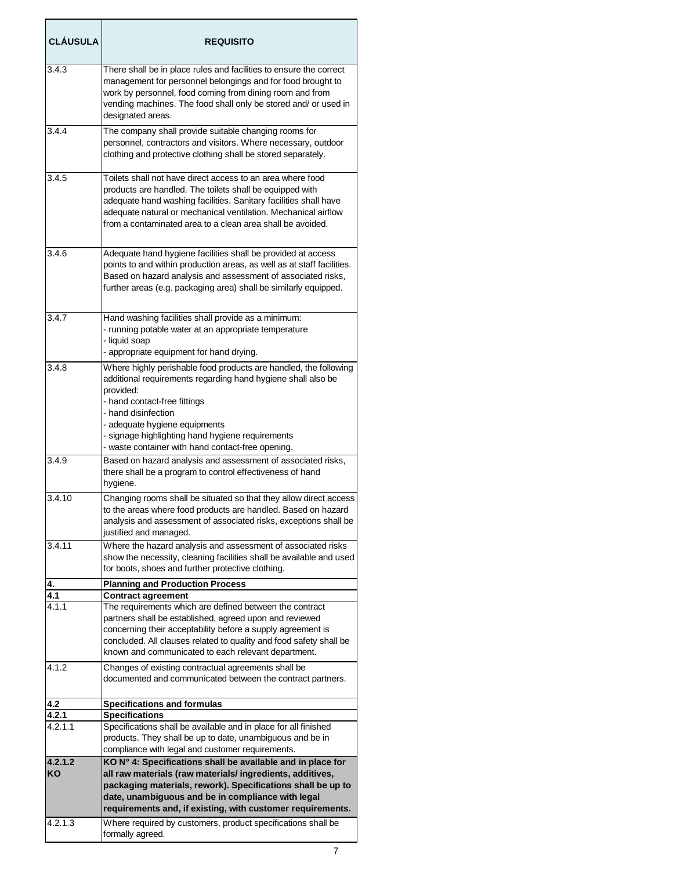| <b>CLÁUSULA</b>  | <b>REQUISITO</b>                                                                                                                                                                                                                                                                                                                               |
|------------------|------------------------------------------------------------------------------------------------------------------------------------------------------------------------------------------------------------------------------------------------------------------------------------------------------------------------------------------------|
| 3.4.3            | There shall be in place rules and facilities to ensure the correct<br>management for personnel belongings and for food brought to<br>work by personnel, food coming from dining room and from<br>vending machines. The food shall only be stored and/ or used in<br>designated areas.                                                          |
| 3.4.4            | The company shall provide suitable changing rooms for<br>personnel, contractors and visitors. Where necessary, outdoor<br>clothing and protective clothing shall be stored separately.                                                                                                                                                         |
| 3.4.5            | Toilets shall not have direct access to an area where food<br>products are handled. The toilets shall be equipped with<br>adequate hand washing facilities. Sanitary facilities shall have<br>adequate natural or mechanical ventilation. Mechanical airflow<br>from a contaminated area to a clean area shall be avoided.                     |
| 3.4.6            | Adequate hand hygiene facilities shall be provided at access<br>points to and within production areas, as well as at staff facilities.<br>Based on hazard analysis and assessment of associated risks,<br>further areas (e.g. packaging area) shall be similarly equipped.                                                                     |
| 3.4.7            | Hand washing facilities shall provide as a minimum:<br>- running potable water at an appropriate temperature<br>- liquid soap<br>- appropriate equipment for hand drying.                                                                                                                                                                      |
| 3.4.8            | Where highly perishable food products are handled, the following<br>additional requirements regarding hand hygiene shall also be<br>provided:<br>- hand contact-free fittings<br>- hand disinfection<br>- adequate hygiene equipments<br>- signage highlighting hand hygiene requirements<br>- waste container with hand contact-free opening. |
| 3.4.9            | Based on hazard analysis and assessment of associated risks,<br>there shall be a program to control effectiveness of hand<br>hygiene.                                                                                                                                                                                                          |
| 3.4.10           | Changing rooms shall be situated so that they allow direct access<br>to the areas where food products are handled. Based on hazard<br>analysis and assessment of associated risks, exceptions shall be<br>justified and managed.                                                                                                               |
| 3.4.11           | Where the hazard analysis and assessment of associated risks<br>show the necessity, cleaning facilities shall be available and used<br>for boots, shoes and further protective clothing.                                                                                                                                                       |
| 4.               | <b>Planning and Production Process</b>                                                                                                                                                                                                                                                                                                         |
| 4.1<br>4.1.1     | <b>Contract agreement</b><br>The requirements which are defined between the contract<br>partners shall be established, agreed upon and reviewed<br>concerning their acceptability before a supply agreement is<br>concluded. All clauses related to quality and food safety shall be<br>known and communicated to each relevant department.    |
| 4.1.2            | Changes of existing contractual agreements shall be<br>documented and communicated between the contract partners.                                                                                                                                                                                                                              |
| 4.2              | <b>Specifications and formulas</b>                                                                                                                                                                                                                                                                                                             |
| 4.2.1<br>4.2.1.1 | <b>Specifications</b><br>Specifications shall be available and in place for all finished<br>products. They shall be up to date, unambiguous and be in<br>compliance with legal and customer requirements.                                                                                                                                      |
| 4.2.1.2<br>ΚO    | KO N° 4: Specifications shall be available and in place for<br>all raw materials (raw materials/ ingredients, additives,<br>packaging materials, rework). Specifications shall be up to<br>date, unambiguous and be in compliance with legal<br>requirements and, if existing, with customer requirements.                                     |
| 4.2.1.3          | Where required by customers, product specifications shall be<br>formally agreed.                                                                                                                                                                                                                                                               |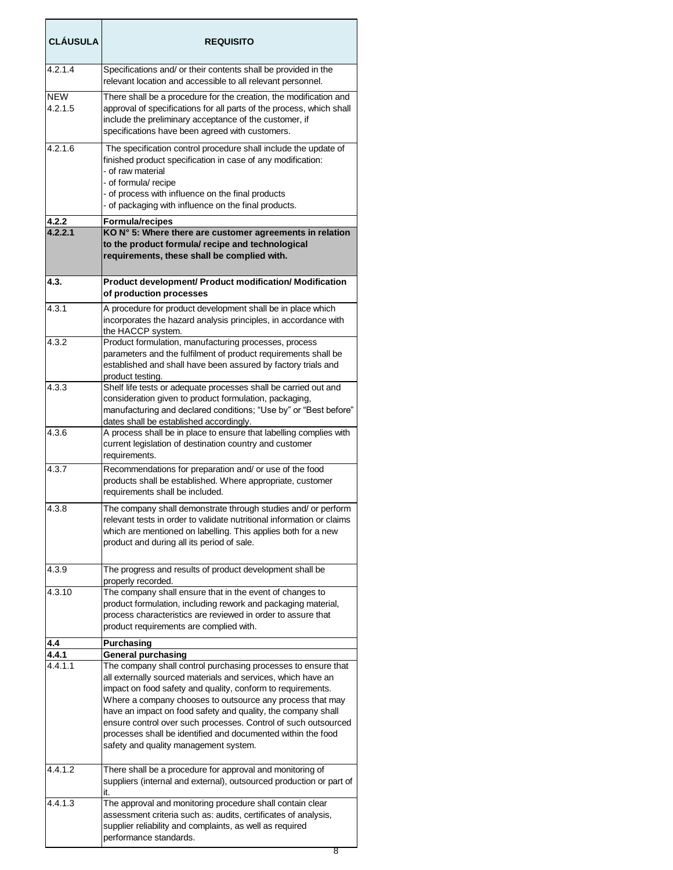| <b>CLÁUSULA</b>       | <b>REQUISITO</b>                                                                                                                                                                                                                                                                                                                                                                                                                                                                                     |
|-----------------------|------------------------------------------------------------------------------------------------------------------------------------------------------------------------------------------------------------------------------------------------------------------------------------------------------------------------------------------------------------------------------------------------------------------------------------------------------------------------------------------------------|
| 4.2.1.4               | Specifications and/ or their contents shall be provided in the<br>relevant location and accessible to all relevant personnel.                                                                                                                                                                                                                                                                                                                                                                        |
| <b>NEW</b><br>4.2.1.5 | There shall be a procedure for the creation, the modification and<br>approval of specifications for all parts of the process, which shall<br>include the preliminary acceptance of the customer, if<br>specifications have been agreed with customers.                                                                                                                                                                                                                                               |
| 4.2.1.6               | The specification control procedure shall include the update of<br>finished product specification in case of any modification:<br>- of raw material<br>- of formula/ recipe<br>- of process with influence on the final products<br>- of packaging with influence on the final products.                                                                                                                                                                                                             |
| 4.2.2                 | <b>Formula/recipes</b>                                                                                                                                                                                                                                                                                                                                                                                                                                                                               |
| 4.2.2.1               | KO N° 5: Where there are customer agreements in relation<br>to the product formula/ recipe and technological<br>requirements, these shall be complied with.                                                                                                                                                                                                                                                                                                                                          |
| 4.3.                  | Product development/ Product modification/ Modification<br>of production processes                                                                                                                                                                                                                                                                                                                                                                                                                   |
| 4.3.1                 | A procedure for product development shall be in place which<br>incorporates the hazard analysis principles, in accordance with<br>the HACCP system.                                                                                                                                                                                                                                                                                                                                                  |
| 4.3.2                 | Product formulation, manufacturing processes, process<br>parameters and the fulfilment of product requirements shall be<br>established and shall have been assured by factory trials and<br>product testing.                                                                                                                                                                                                                                                                                         |
| 4.3.3                 | Shelf life tests or adequate processes shall be carried out and<br>consideration given to product formulation, packaging,<br>manufacturing and declared conditions; "Use by" or "Best before"<br>dates shall be established accordingly.                                                                                                                                                                                                                                                             |
| 4.3.6                 | A process shall be in place to ensure that labelling complies with<br>current legislation of destination country and customer<br>requirements.                                                                                                                                                                                                                                                                                                                                                       |
| 4.3.7                 | Recommendations for preparation and/ or use of the food<br>products shall be established. Where appropriate, customer<br>requirements shall be included.                                                                                                                                                                                                                                                                                                                                             |
| 4.3.8                 | The company shall demonstrate through studies and/ or perform<br>relevant tests in order to validate nutritional information or claims<br>which are mentioned on labelling. This applies both for a new<br>product and during all its period of sale.                                                                                                                                                                                                                                                |
| 4.3.9                 | The progress and results of product development shall be<br>properly recorded.                                                                                                                                                                                                                                                                                                                                                                                                                       |
| 4.3.10                | The company shall ensure that in the event of changes to<br>product formulation, including rework and packaging material,<br>process characteristics are reviewed in order to assure that<br>product requirements are complied with.                                                                                                                                                                                                                                                                 |
| 4.4                   | Purchasing                                                                                                                                                                                                                                                                                                                                                                                                                                                                                           |
| 4.4.1                 | <b>General purchasing</b>                                                                                                                                                                                                                                                                                                                                                                                                                                                                            |
| 4.4.1.1               | The company shall control purchasing processes to ensure that<br>all externally sourced materials and services, which have an<br>impact on food safety and quality, conform to requirements.<br>Where a company chooses to outsource any process that may<br>have an impact on food safety and quality, the company shall<br>ensure control over such processes. Control of such outsourced<br>processes shall be identified and documented within the food<br>safety and quality management system. |
| 4.4.1.2               | There shall be a procedure for approval and monitoring of<br>suppliers (internal and external), outsourced production or part of<br>it.                                                                                                                                                                                                                                                                                                                                                              |
| 4.4.1.3               | The approval and monitoring procedure shall contain clear<br>assessment criteria such as: audits, certificates of analysis,<br>supplier reliability and complaints, as well as required<br>performance standards.                                                                                                                                                                                                                                                                                    |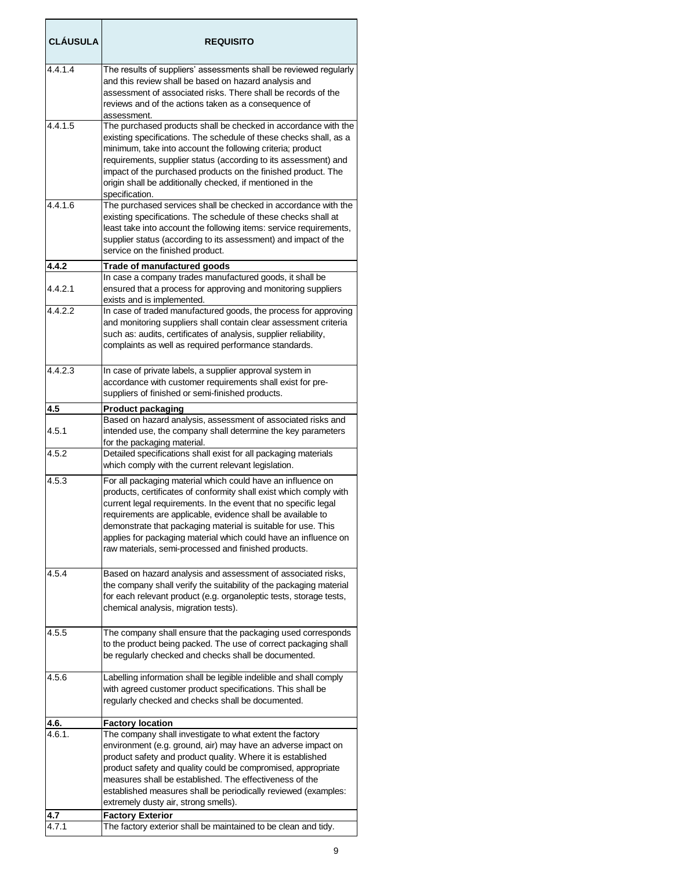| <b>CLÁUSULA</b>  | <b>REQUISITO</b>                                                                                                                                                                                                                                                                                                                                                                                                                                                |
|------------------|-----------------------------------------------------------------------------------------------------------------------------------------------------------------------------------------------------------------------------------------------------------------------------------------------------------------------------------------------------------------------------------------------------------------------------------------------------------------|
| 4.4.1.4          | The results of suppliers' assessments shall be reviewed regularly<br>and this review shall be based on hazard analysis and<br>assessment of associated risks. There shall be records of the<br>reviews and of the actions taken as a consequence of<br>assessment.                                                                                                                                                                                              |
| 4.4.1.5          | The purchased products shall be checked in accordance with the<br>existing specifications. The schedule of these checks shall, as a<br>minimum, take into account the following criteria; product<br>requirements, supplier status (according to its assessment) and<br>impact of the purchased products on the finished product. The<br>origin shall be additionally checked, if mentioned in the<br>specification.                                            |
| 4.4.1.6          | The purchased services shall be checked in accordance with the<br>existing specifications. The schedule of these checks shall at<br>least take into account the following items: service requirements,<br>supplier status (according to its assessment) and impact of the<br>service on the finished product.                                                                                                                                                   |
| 4.4.2<br>4.4.2.1 | Trade of manufactured goods<br>In case a company trades manufactured goods, it shall be<br>ensured that a process for approving and monitoring suppliers                                                                                                                                                                                                                                                                                                        |
| 4.4.2.2          | exists and is implemented.<br>In case of traded manufactured goods, the process for approving<br>and monitoring suppliers shall contain clear assessment criteria<br>such as: audits, certificates of analysis, supplier reliability,<br>complaints as well as required performance standards.                                                                                                                                                                  |
| 4.4.2.3          | In case of private labels, a supplier approval system in<br>accordance with customer requirements shall exist for pre-<br>suppliers of finished or semi-finished products.                                                                                                                                                                                                                                                                                      |
| 4.5              | <b>Product packaging</b><br>Based on hazard analysis, assessment of associated risks and                                                                                                                                                                                                                                                                                                                                                                        |
| 4.5.1            | intended use, the company shall determine the key parameters<br>for the packaging material.                                                                                                                                                                                                                                                                                                                                                                     |
| 4.5.2            | Detailed specifications shall exist for all packaging materials<br>which comply with the current relevant legislation.                                                                                                                                                                                                                                                                                                                                          |
| 4.5.3            | For all packaging material which could have an influence on<br>products, certificates of conformity shall exist which comply with<br>current legal requirements. In the event that no specific legal<br>requirements are applicable, evidence shall be available to<br>demonstrate that packaging material is suitable for use. This<br>applies for packaging material which could have an influence on<br>raw materials, semi-processed and finished products. |
| 4.5.4            | Based on hazard analysis and assessment of associated risks,<br>the company shall verify the suitability of the packaging material<br>for each relevant product (e.g. organoleptic tests, storage tests,<br>chemical analysis, migration tests).                                                                                                                                                                                                                |
| 4.5.5            | The company shall ensure that the packaging used corresponds<br>to the product being packed. The use of correct packaging shall<br>be regularly checked and checks shall be documented.                                                                                                                                                                                                                                                                         |
| 4.5.6            | Labelling information shall be legible indelible and shall comply<br>with agreed customer product specifications. This shall be<br>regularly checked and checks shall be documented.                                                                                                                                                                                                                                                                            |
| 4.6.<br>4.6.1.   | <b>Factory location</b><br>The company shall investigate to what extent the factory<br>environment (e.g. ground, air) may have an adverse impact on                                                                                                                                                                                                                                                                                                             |
|                  | product safety and product quality. Where it is established<br>product safety and quality could be compromised, appropriate<br>measures shall be established. The effectiveness of the<br>established measures shall be periodically reviewed (examples:<br>extremely dusty air, strong smells).                                                                                                                                                                |
| 4.7<br>4.7.1     | <b>Factory Exterior</b><br>The factory exterior shall be maintained to be clean and tidy.                                                                                                                                                                                                                                                                                                                                                                       |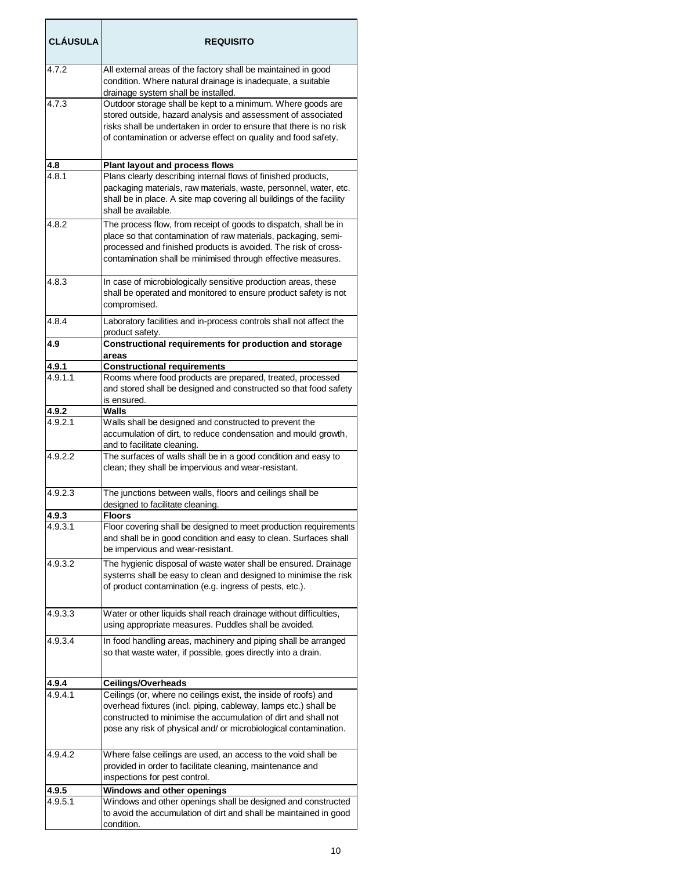| <b>CLÁUSULA</b> | <b>REQUISITO</b>                                                                                                                                                                                                                                                         |
|-----------------|--------------------------------------------------------------------------------------------------------------------------------------------------------------------------------------------------------------------------------------------------------------------------|
| 4.7.2           | All external areas of the factory shall be maintained in good<br>condition. Where natural drainage is inadequate, a suitable<br>drainage system shall be installed.                                                                                                      |
| 4.7.3           | Outdoor storage shall be kept to a minimum. Where goods are<br>stored outside, hazard analysis and assessment of associated<br>risks shall be undertaken in order to ensure that there is no risk<br>of contamination or adverse effect on quality and food safety.      |
| 4.8             | <b>Plant layout and process flows</b>                                                                                                                                                                                                                                    |
| 4.8.1           | Plans clearly describing internal flows of finished products,<br>packaging materials, raw materials, waste, personnel, water, etc.<br>shall be in place. A site map covering all buildings of the facility<br>shall be available.                                        |
| 4.8.2           | The process flow, from receipt of goods to dispatch, shall be in<br>place so that contamination of raw materials, packaging, semi-<br>processed and finished products is avoided. The risk of cross-<br>contamination shall be minimised through effective measures.     |
| 4.8.3           | In case of microbiologically sensitive production areas, these<br>shall be operated and monitored to ensure product safety is not<br>compromised.                                                                                                                        |
| 4.8.4           | Laboratory facilities and in-process controls shall not affect the<br>product safety.                                                                                                                                                                                    |
| 4.9             | Constructional requirements for production and storage<br>areas                                                                                                                                                                                                          |
| 4.9.1           | <b>Constructional requirements</b>                                                                                                                                                                                                                                       |
| 4.9.1.1         | Rooms where food products are prepared, treated, processed<br>and stored shall be designed and constructed so that food safety<br>is ensured.                                                                                                                            |
| 4.9.2           | Walls                                                                                                                                                                                                                                                                    |
| 4.9.2.1         | Walls shall be designed and constructed to prevent the<br>accumulation of dirt, to reduce condensation and mould growth,<br>and to facilitate cleaning.                                                                                                                  |
| 4.9.2.2         | The surfaces of walls shall be in a good condition and easy to<br>clean; they shall be impervious and wear-resistant.                                                                                                                                                    |
| 4.9.2.3         | The junctions between walls, floors and ceilings shall be<br>designed to facilitate cleaning.                                                                                                                                                                            |
| 4.9.3           | <b>Floors</b>                                                                                                                                                                                                                                                            |
| 4.9.3.1         | Floor covering shall be designed to meet production requirements<br>and shall be in good condition and easy to clean. Surfaces shall<br>be impervious and wear-resistant.                                                                                                |
| 4.9.3.2         | The hygienic disposal of waste water shall be ensured. Drainage<br>systems shall be easy to clean and designed to minimise the risk<br>of product contamination (e.g. ingress of pests, etc.).                                                                           |
| 4.9.3.3         | Water or other liquids shall reach drainage without difficulties,<br>using appropriate measures. Puddles shall be avoided.                                                                                                                                               |
| 4.9.3.4         | In food handling areas, machinery and piping shall be arranged<br>so that waste water, if possible, goes directly into a drain.                                                                                                                                          |
| 4.9.4           | <b>Ceilings/Overheads</b>                                                                                                                                                                                                                                                |
| 4.9.4.1         | Ceilings (or, where no ceilings exist, the inside of roofs) and<br>overhead fixtures (incl. piping, cableway, lamps etc.) shall be<br>constructed to minimise the accumulation of dirt and shall not<br>pose any risk of physical and/ or microbiological contamination. |
| 4.9.4.2         | Where false ceilings are used, an access to the void shall be<br>provided in order to facilitate cleaning, maintenance and<br>inspections for pest control.                                                                                                              |
| 4.9.5           | Windows and other openings                                                                                                                                                                                                                                               |
| 4.9.5.1         | Windows and other openings shall be designed and constructed<br>to avoid the accumulation of dirt and shall be maintained in good<br>condition.                                                                                                                          |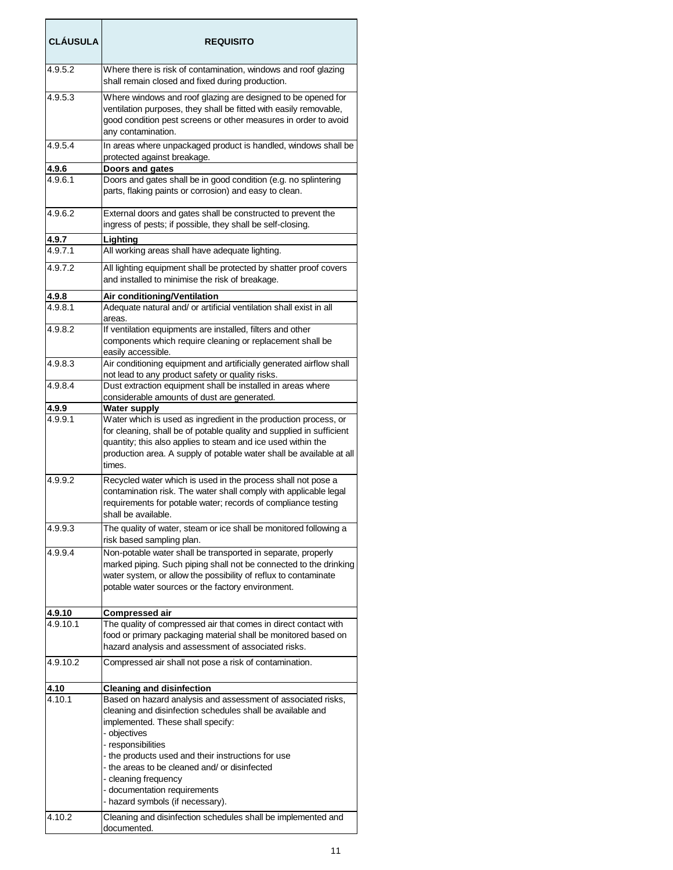| <b>CLAUSULA</b>  | <b>REQUISITO</b>                                                                                                                                                                                                                                                                                                                                                                                       |
|------------------|--------------------------------------------------------------------------------------------------------------------------------------------------------------------------------------------------------------------------------------------------------------------------------------------------------------------------------------------------------------------------------------------------------|
| 4.9.5.2          | Where there is risk of contamination, windows and roof glazing<br>shall remain closed and fixed during production.                                                                                                                                                                                                                                                                                     |
| 4.9.5.3          | Where windows and roof glazing are designed to be opened for<br>ventilation purposes, they shall be fitted with easily removable,<br>good condition pest screens or other measures in order to avoid<br>any contamination.                                                                                                                                                                             |
| 4.9.5.4          | In areas where unpackaged product is handled, windows shall be<br>protected against breakage.                                                                                                                                                                                                                                                                                                          |
| 4.9.6<br>4.9.6.1 | Doors and gates<br>Doors and gates shall be in good condition (e.g. no splintering<br>parts, flaking paints or corrosion) and easy to clean.                                                                                                                                                                                                                                                           |
| 4.9.6.2          | External doors and gates shall be constructed to prevent the<br>ingress of pests; if possible, they shall be self-closing.                                                                                                                                                                                                                                                                             |
| 4.9.7            | Lighting                                                                                                                                                                                                                                                                                                                                                                                               |
| 4.9.7.1          | All working areas shall have adequate lighting.                                                                                                                                                                                                                                                                                                                                                        |
| 4.9.7.2          | All lighting equipment shall be protected by shatter proof covers<br>and installed to minimise the risk of breakage.                                                                                                                                                                                                                                                                                   |
| 4.9.8            | Air conditioning/Ventilation                                                                                                                                                                                                                                                                                                                                                                           |
| 4.9.8.1          | Adequate natural and/ or artificial ventilation shall exist in all<br>areas.                                                                                                                                                                                                                                                                                                                           |
| 4.9.8.2          | If ventilation equipments are installed, filters and other<br>components which require cleaning or replacement shall be<br>easily accessible.                                                                                                                                                                                                                                                          |
| 4.9.8.3          | Air conditioning equipment and artificially generated airflow shall<br>not lead to any product safety or quality risks.                                                                                                                                                                                                                                                                                |
| 4.9.8.4          | Dust extraction equipment shall be installed in areas where                                                                                                                                                                                                                                                                                                                                            |
| 4.9.9            | considerable amounts of dust are generated.<br>Water supply                                                                                                                                                                                                                                                                                                                                            |
| 4.9.9.1          | Water which is used as ingredient in the production process, or<br>for cleaning, shall be of potable quality and supplied in sufficient<br>quantity; this also applies to steam and ice used within the<br>production area. A supply of potable water shall be available at all<br>times.                                                                                                              |
| 4.9.9.2          | Recycled water which is used in the process shall not pose a<br>contamination risk. The water shall comply with applicable legal<br>requirements for potable water; records of compliance testing<br>shall be available.                                                                                                                                                                               |
| 4.9.9.3          | The quality of water, steam or ice shall be monitored following a<br>risk based sampling plan.                                                                                                                                                                                                                                                                                                         |
| 4.9.9.4          | Non-potable water shall be transported in separate, properly<br>marked piping. Such piping shall not be connected to the drinking<br>water system, or allow the possibility of reflux to contaminate<br>potable water sources or the factory environment.                                                                                                                                              |
| 4.9.10           | Compressed air                                                                                                                                                                                                                                                                                                                                                                                         |
| 4.9.10.1         | The quality of compressed air that comes in direct contact with<br>food or primary packaging material shall be monitored based on<br>hazard analysis and assessment of associated risks.                                                                                                                                                                                                               |
| 4.9.10.2         | Compressed air shall not pose a risk of contamination.                                                                                                                                                                                                                                                                                                                                                 |
| 4.10             | <b>Cleaning and disinfection</b>                                                                                                                                                                                                                                                                                                                                                                       |
| 4.10.1           | Based on hazard analysis and assessment of associated risks,<br>cleaning and disinfection schedules shall be available and<br>implemented. These shall specify:<br>- objectives<br>- responsibilities<br>- the products used and their instructions for use<br>- the areas to be cleaned and/ or disinfected<br>- cleaning frequency<br>- documentation requirements<br>hazard symbols (if necessary). |
| 4.10.2           | Cleaning and disinfection schedules shall be implemented and<br>documented.                                                                                                                                                                                                                                                                                                                            |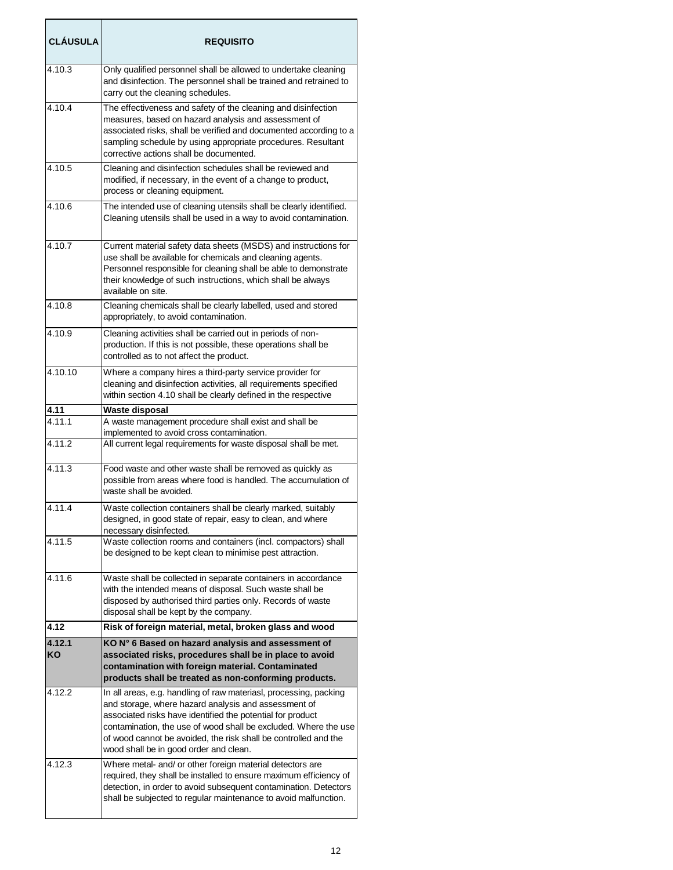| <b>CLÁUSULA</b> | <b>REQUISITO</b>                                                                                                                                                                                                                                                                                                                                                        |
|-----------------|-------------------------------------------------------------------------------------------------------------------------------------------------------------------------------------------------------------------------------------------------------------------------------------------------------------------------------------------------------------------------|
| 4.10.3          | Only qualified personnel shall be allowed to undertake cleaning<br>and disinfection. The personnel shall be trained and retrained to<br>carry out the cleaning schedules.                                                                                                                                                                                               |
| 4.10.4          | The effectiveness and safety of the cleaning and disinfection<br>measures, based on hazard analysis and assessment of<br>associated risks, shall be verified and documented according to a<br>sampling schedule by using appropriate procedures. Resultant<br>corrective actions shall be documented.                                                                   |
| 4.10.5          | Cleaning and disinfection schedules shall be reviewed and<br>modified, if necessary, in the event of a change to product,<br>process or cleaning equipment.                                                                                                                                                                                                             |
| 4.10.6          | The intended use of cleaning utensils shall be clearly identified.<br>Cleaning utensils shall be used in a way to avoid contamination.                                                                                                                                                                                                                                  |
| 4.10.7          | Current material safety data sheets (MSDS) and instructions for<br>use shall be available for chemicals and cleaning agents.<br>Personnel responsible for cleaning shall be able to demonstrate<br>their knowledge of such instructions, which shall be always<br>available on site.                                                                                    |
| 4.10.8          | Cleaning chemicals shall be clearly labelled, used and stored<br>appropriately, to avoid contamination.                                                                                                                                                                                                                                                                 |
| 4.10.9          | Cleaning activities shall be carried out in periods of non-<br>production. If this is not possible, these operations shall be<br>controlled as to not affect the product.                                                                                                                                                                                               |
| 4.10.10         | Where a company hires a third-party service provider for<br>cleaning and disinfection activities, all requirements specified<br>within section 4.10 shall be clearly defined in the respective                                                                                                                                                                          |
| <u>4.11</u>     | Waste disposal                                                                                                                                                                                                                                                                                                                                                          |
| 4.11.1          | A waste management procedure shall exist and shall be<br>implemented to avoid cross contamination.                                                                                                                                                                                                                                                                      |
| 4.11.2          | All current legal requirements for waste disposal shall be met.                                                                                                                                                                                                                                                                                                         |
| 4.11.3          | Food waste and other waste shall be removed as quickly as<br>possible from areas where food is handled. The accumulation of<br>waste shall be avoided.                                                                                                                                                                                                                  |
| 4.11.4          | Waste collection containers shall be clearly marked, suitably<br>designed, in good state of repair, easy to clean, and where<br>necessary disinfected.                                                                                                                                                                                                                  |
| 4.11.5          | Waste collection rooms and containers (incl. compactors) shall<br>be designed to be kept clean to minimise pest attraction.                                                                                                                                                                                                                                             |
| 4.11.6          | Waste shall be collected in separate containers in accordance<br>with the intended means of disposal. Such waste shall be<br>disposed by authorised third parties only. Records of waste<br>disposal shall be kept by the company.                                                                                                                                      |
| 4.12            | Risk of foreign material, metal, broken glass and wood                                                                                                                                                                                                                                                                                                                  |
| 4.12.1<br>KO    | KO N° 6 Based on hazard analysis and assessment of<br>associated risks, procedures shall be in place to avoid<br>contamination with foreign material. Contaminated<br>products shall be treated as non-conforming products.                                                                                                                                             |
| 4.12.2          | In all areas, e.g. handling of raw materiasl, processing, packing<br>and storage, where hazard analysis and assessment of<br>associated risks have identified the potential for product<br>contamination, the use of wood shall be excluded. Where the use<br>of wood cannot be avoided, the risk shall be controlled and the<br>wood shall be in good order and clean. |
| 4.12.3          | Where metal- and/ or other foreign material detectors are<br>required, they shall be installed to ensure maximum efficiency of<br>detection, in order to avoid subsequent contamination. Detectors<br>shall be subjected to regular maintenance to avoid malfunction.                                                                                                   |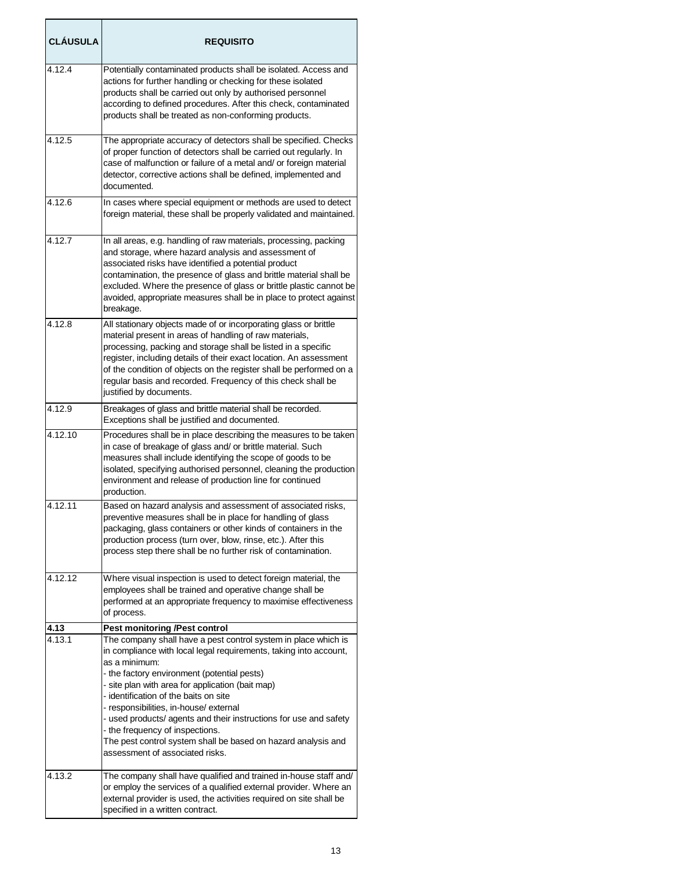| <b>CLÁUSULA</b> | <b>REQUISITO</b>                                                                                                                                                                                                                                                                                                                                                                                                                                                                                                                                                                               |
|-----------------|------------------------------------------------------------------------------------------------------------------------------------------------------------------------------------------------------------------------------------------------------------------------------------------------------------------------------------------------------------------------------------------------------------------------------------------------------------------------------------------------------------------------------------------------------------------------------------------------|
| 4.12.4          | Potentially contaminated products shall be isolated. Access and<br>actions for further handling or checking for these isolated<br>products shall be carried out only by authorised personnel<br>according to defined procedures. After this check, contaminated<br>products shall be treated as non-conforming products.                                                                                                                                                                                                                                                                       |
| 4.12.5          | The appropriate accuracy of detectors shall be specified. Checks<br>of proper function of detectors shall be carried out regularly. In<br>case of malfunction or failure of a metal and/ or foreign material<br>detector, corrective actions shall be defined, implemented and<br>documented.                                                                                                                                                                                                                                                                                                  |
| 4.12.6          | In cases where special equipment or methods are used to detect<br>foreign material, these shall be properly validated and maintained.                                                                                                                                                                                                                                                                                                                                                                                                                                                          |
| 4.12.7          | In all areas, e.g. handling of raw materials, processing, packing<br>and storage, where hazard analysis and assessment of<br>associated risks have identified a potential product<br>contamination, the presence of glass and brittle material shall be<br>excluded. Where the presence of glass or brittle plastic cannot be<br>avoided, appropriate measures shall be in place to protect against<br>breakage.                                                                                                                                                                               |
| 4.12.8          | All stationary objects made of or incorporating glass or brittle<br>material present in areas of handling of raw materials,<br>processing, packing and storage shall be listed in a specific<br>register, including details of their exact location. An assessment<br>of the condition of objects on the register shall be performed on a<br>regular basis and recorded. Frequency of this check shall be<br>justified by documents.                                                                                                                                                           |
| 4.12.9          | Breakages of glass and brittle material shall be recorded.<br>Exceptions shall be justified and documented.                                                                                                                                                                                                                                                                                                                                                                                                                                                                                    |
| 4.12.10         | Procedures shall be in place describing the measures to be taken<br>in case of breakage of glass and/ or brittle material. Such<br>measures shall include identifying the scope of goods to be<br>isolated, specifying authorised personnel, cleaning the production<br>environment and release of production line for continued<br>production.                                                                                                                                                                                                                                                |
| 4.12.11         | Based on hazard analysis and assessment of associated risks,<br>preventive measures shall be in place for handling of glass<br>packaging, glass containers or other kinds of containers in the<br>production process (turn over, blow, rinse, etc.). After this<br>process step there shall be no further risk of contamination.                                                                                                                                                                                                                                                               |
| 4.12.12         | Where visual inspection is used to detect foreign material, the<br>employees shall be trained and operative change shall be<br>performed at an appropriate frequency to maximise effectiveness<br>of process.                                                                                                                                                                                                                                                                                                                                                                                  |
| 4.13<br>4.13.1  | <b>Pest monitoring /Pest control</b><br>The company shall have a pest control system in place which is<br>in compliance with local legal requirements, taking into account,<br>as a minimum:<br>- the factory environment (potential pests)<br>- site plan with area for application (bait map)<br>- identification of the baits on site<br>- responsibilities, in-house/ external<br>- used products/ agents and their instructions for use and safety<br>- the frequency of inspections.<br>The pest control system shall be based on hazard analysis and<br>assessment of associated risks. |
| 4.13.2          | The company shall have qualified and trained in-house staff and/<br>or employ the services of a qualified external provider. Where an<br>external provider is used, the activities required on site shall be<br>specified in a written contract.                                                                                                                                                                                                                                                                                                                                               |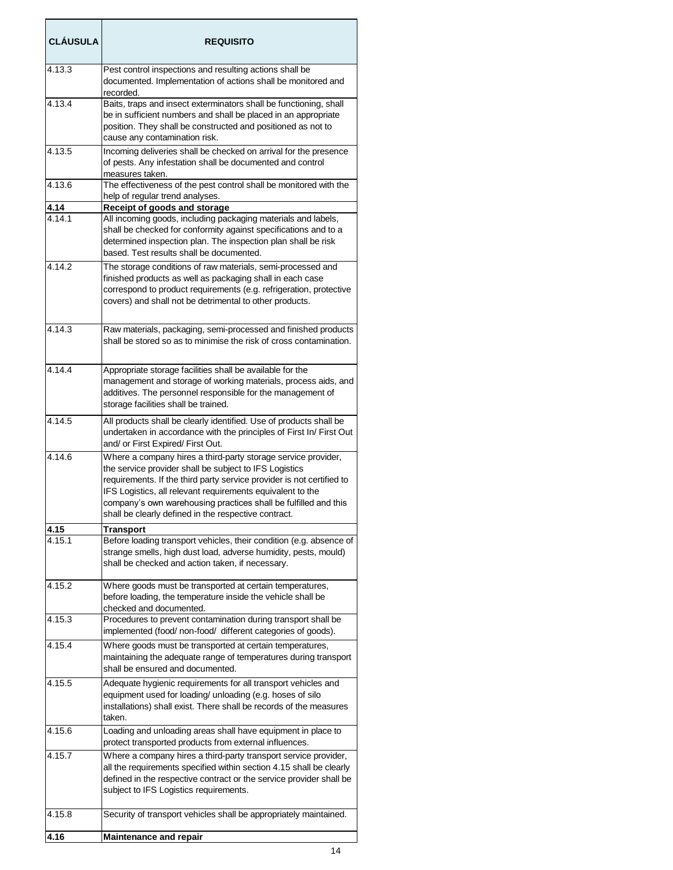| <b>CLAUSULA</b> | <b>REQUISITO</b>                                                                                                                                                                                                                                                                                                                                                                          |
|-----------------|-------------------------------------------------------------------------------------------------------------------------------------------------------------------------------------------------------------------------------------------------------------------------------------------------------------------------------------------------------------------------------------------|
| 4.13.3          | Pest control inspections and resulting actions shall be<br>documented. Implementation of actions shall be monitored and<br>recorded.                                                                                                                                                                                                                                                      |
| 4.13.4          | Baits, traps and insect exterminators shall be functioning, shall<br>be in sufficient numbers and shall be placed in an appropriate<br>position. They shall be constructed and positioned as not to<br>cause any contamination risk.                                                                                                                                                      |
| 4.13.5          | Incoming deliveries shall be checked on arrival for the presence<br>of pests. Any infestation shall be documented and control<br>measures taken.                                                                                                                                                                                                                                          |
| 4.13.6          | The effectiveness of the pest control shall be monitored with the<br>help of regular trend analyses.                                                                                                                                                                                                                                                                                      |
| 4.14            | Receipt of goods and storage                                                                                                                                                                                                                                                                                                                                                              |
| 4.14.1          | All incoming goods, including packaging materials and labels,<br>shall be checked for conformity against specifications and to a<br>determined inspection plan. The inspection plan shall be risk<br>based. Test results shall be documented.                                                                                                                                             |
| 4.14.2          | The storage conditions of raw materials, semi-processed and<br>finished products as well as packaging shall in each case<br>correspond to product requirements (e.g. refrigeration, protective<br>covers) and shall not be detrimental to other products.                                                                                                                                 |
| 4.14.3          | Raw materials, packaging, semi-processed and finished products<br>shall be stored so as to minimise the risk of cross contamination.                                                                                                                                                                                                                                                      |
| 4.14.4          | Appropriate storage facilities shall be available for the<br>management and storage of working materials, process aids, and<br>additives. The personnel responsible for the management of<br>storage facilities shall be trained.                                                                                                                                                         |
| 4.14.5          | All products shall be clearly identified. Use of products shall be<br>undertaken in accordance with the principles of First In/ First Out<br>and/ or First Expired/ First Out.                                                                                                                                                                                                            |
| 4.14.6          | Where a company hires a third-party storage service provider,<br>the service provider shall be subject to IFS Logistics<br>requirements. If the third party service provider is not certified to<br>IFS Logistics, all relevant requirements equivalent to the<br>company's own warehousing practices shall be fulfilled and this<br>shall be clearly defined in the respective contract. |
| 4.15            | Transport                                                                                                                                                                                                                                                                                                                                                                                 |
| 4.15.1          | Before loading transport vehicles, their condition (e.g. absence of<br>strange smells, high dust load, adverse humidity, pests, mould)<br>shall be checked and action taken, if necessary.                                                                                                                                                                                                |
| 4.15.2          | Where goods must be transported at certain temperatures,<br>before loading, the temperature inside the vehicle shall be<br>checked and documented.                                                                                                                                                                                                                                        |
| 4.15.3          | Procedures to prevent contamination during transport shall be<br>implemented (food/ non-food/ different categories of goods).                                                                                                                                                                                                                                                             |
| 4.15.4          | Where goods must be transported at certain temperatures,<br>maintaining the adequate range of temperatures during transport<br>shall be ensured and documented.                                                                                                                                                                                                                           |
| 4.15.5          | Adequate hygienic requirements for all transport vehicles and<br>equipment used for loading/ unloading (e.g. hoses of silo<br>installations) shall exist. There shall be records of the measures<br>taken.                                                                                                                                                                                |
| 4.15.6          | Loading and unloading areas shall have equipment in place to<br>protect transported products from external influences.                                                                                                                                                                                                                                                                    |
| 4.15.7          | Where a company hires a third-party transport service provider,<br>all the requirements specified within section 4.15 shall be clearly<br>defined in the respective contract or the service provider shall be<br>subject to IFS Logistics requirements.                                                                                                                                   |
| 4.15.8          | Security of transport vehicles shall be appropriately maintained.                                                                                                                                                                                                                                                                                                                         |
| 4.16            | <b>Maintenance and repair</b>                                                                                                                                                                                                                                                                                                                                                             |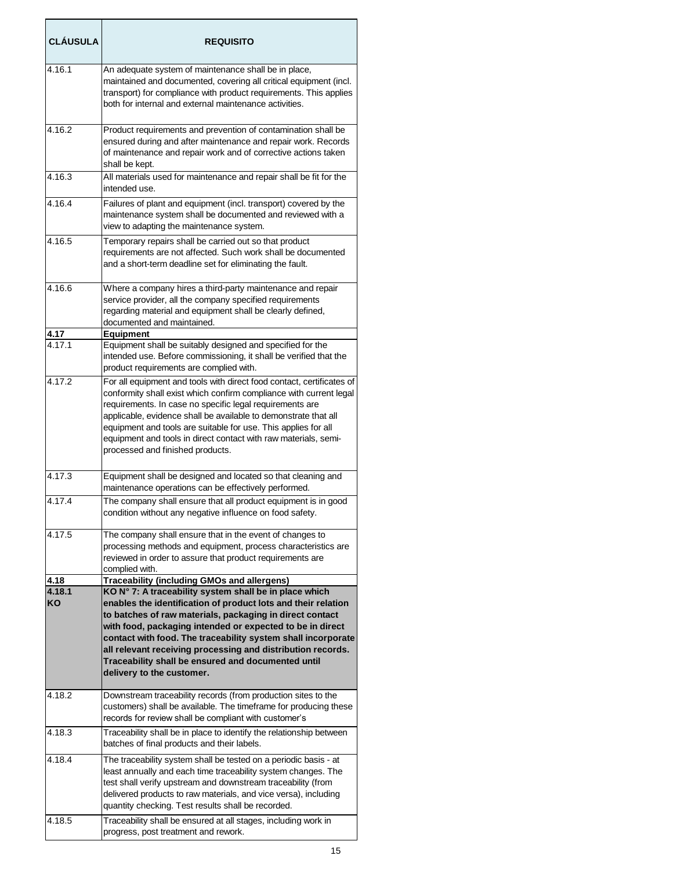| <b>CLÁUSULA</b> | <b>REQUISITO</b>                                                                                                                                                                                                                                                                                                                                                                                                                                                   |
|-----------------|--------------------------------------------------------------------------------------------------------------------------------------------------------------------------------------------------------------------------------------------------------------------------------------------------------------------------------------------------------------------------------------------------------------------------------------------------------------------|
| 4.16.1          | An adequate system of maintenance shall be in place,<br>maintained and documented, covering all critical equipment (incl.<br>transport) for compliance with product requirements. This applies<br>both for internal and external maintenance activities.                                                                                                                                                                                                           |
| 4.16.2          | Product requirements and prevention of contamination shall be<br>ensured during and after maintenance and repair work. Records<br>of maintenance and repair work and of corrective actions taken<br>shall be kept.                                                                                                                                                                                                                                                 |
| 4.16.3          | All materials used for maintenance and repair shall be fit for the<br>intended use.                                                                                                                                                                                                                                                                                                                                                                                |
| 4.16.4          | Failures of plant and equipment (incl. transport) covered by the<br>maintenance system shall be documented and reviewed with a<br>view to adapting the maintenance system.                                                                                                                                                                                                                                                                                         |
| 4.16.5          | Temporary repairs shall be carried out so that product<br>requirements are not affected. Such work shall be documented<br>and a short-term deadline set for eliminating the fault.                                                                                                                                                                                                                                                                                 |
| 4.16.6          | Where a company hires a third-party maintenance and repair<br>service provider, all the company specified requirements<br>regarding material and equipment shall be clearly defined,<br>documented and maintained.                                                                                                                                                                                                                                                 |
| 4.17<br>4.17.1  | <b>Equipment</b><br>Equipment shall be suitably designed and specified for the<br>intended use. Before commissioning, it shall be verified that the<br>product requirements are complied with.                                                                                                                                                                                                                                                                     |
| 4.17.2          | For all equipment and tools with direct food contact, certificates of<br>conformity shall exist which confirm compliance with current legal<br>requirements. In case no specific legal requirements are<br>applicable, evidence shall be available to demonstrate that all<br>equipment and tools are suitable for use. This applies for all<br>equipment and tools in direct contact with raw materials, semi-<br>processed and finished products.                |
| 4.17.3          | Equipment shall be designed and located so that cleaning and<br>maintenance operations can be effectively performed.                                                                                                                                                                                                                                                                                                                                               |
| 4.17.4          | The company shall ensure that all product equipment is in good<br>condition without any negative influence on food safety.                                                                                                                                                                                                                                                                                                                                         |
| 4.17.5          | The company shall ensure that in the event of changes to<br>processing methods and equipment, process characteristics are<br>reviewed in order to assure that product requirements are<br>complied with.                                                                                                                                                                                                                                                           |
| 4.18            | Traceability (including GMOs and allergens)                                                                                                                                                                                                                                                                                                                                                                                                                        |
| 4.18.1<br>KO    | KO N° 7: A traceability system shall be in place which<br>enables the identification of product lots and their relation<br>to batches of raw materials, packaging in direct contact<br>with food, packaging intended or expected to be in direct<br>contact with food. The traceability system shall incorporate<br>all relevant receiving processing and distribution records.<br>Traceability shall be ensured and documented until<br>delivery to the customer. |
| 4.18.2          | Downstream traceability records (from production sites to the<br>customers) shall be available. The timeframe for producing these<br>records for review shall be compliant with customer's                                                                                                                                                                                                                                                                         |
| 4.18.3          | Traceability shall be in place to identify the relationship between<br>batches of final products and their labels.                                                                                                                                                                                                                                                                                                                                                 |
| 4.18.4          | The traceability system shall be tested on a periodic basis - at<br>least annually and each time traceability system changes. The<br>test shall verify upstream and downstream traceability (from<br>delivered products to raw materials, and vice versa), including<br>quantity checking. Test results shall be recorded.                                                                                                                                         |
| 4.18.5          | Traceability shall be ensured at all stages, including work in<br>progress, post treatment and rework.                                                                                                                                                                                                                                                                                                                                                             |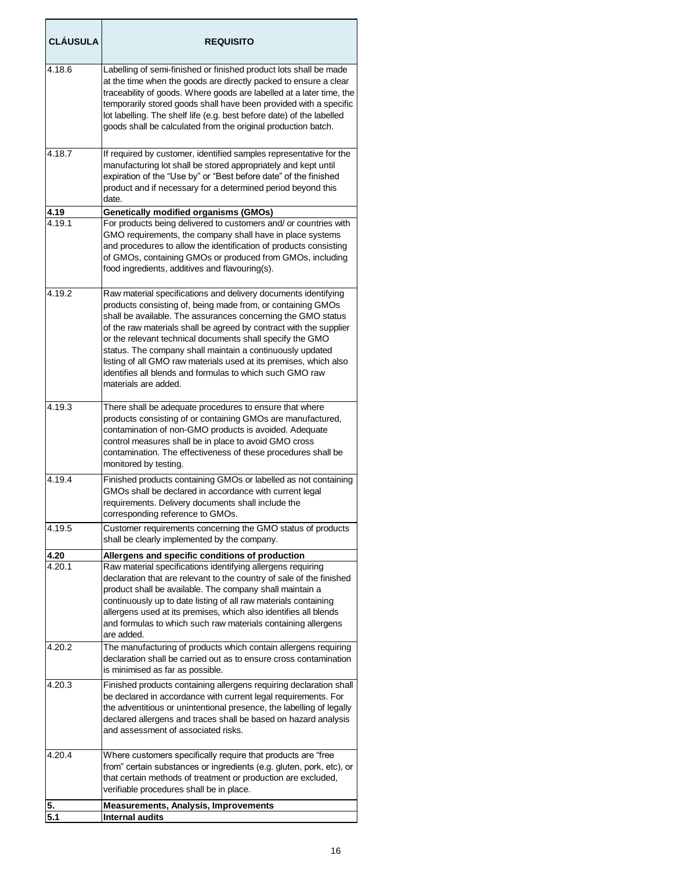| <b>CLÁUSULA</b> | <b>REQUISITO</b>                                                                                                                                                                                                                                                                                                                                                                                                                                                                                                                                       |
|-----------------|--------------------------------------------------------------------------------------------------------------------------------------------------------------------------------------------------------------------------------------------------------------------------------------------------------------------------------------------------------------------------------------------------------------------------------------------------------------------------------------------------------------------------------------------------------|
| 4.18.6          | Labelling of semi-finished or finished product lots shall be made<br>at the time when the goods are directly packed to ensure a clear<br>traceability of goods. Where goods are labelled at a later time, the<br>temporarily stored goods shall have been provided with a specific<br>lot labelling. The shelf life (e.g. best before date) of the labelled<br>goods shall be calculated from the original production batch.                                                                                                                           |
| 4.18.7          | If required by customer, identified samples representative for the<br>manufacturing lot shall be stored appropriately and kept until<br>expiration of the "Use by" or "Best before date" of the finished<br>product and if necessary for a determined period beyond this<br>date.                                                                                                                                                                                                                                                                      |
| 4.19<br>4.19.1  | <b>Genetically modified organisms (GMOs)</b><br>For products being delivered to customers and/ or countries with<br>GMO requirements, the company shall have in place systems<br>and procedures to allow the identification of products consisting<br>of GMOs, containing GMOs or produced from GMOs, including<br>food ingredients, additives and flavouring(s).                                                                                                                                                                                      |
| 4.19.2          | Raw material specifications and delivery documents identifying<br>products consisting of, being made from, or containing GMOs<br>shall be available. The assurances concerning the GMO status<br>of the raw materials shall be agreed by contract with the supplier<br>or the relevant technical documents shall specify the GMO<br>status. The company shall maintain a continuously updated<br>listing of all GMO raw materials used at its premises, which also<br>identifies all blends and formulas to which such GMO raw<br>materials are added. |
| 4.19.3          | There shall be adequate procedures to ensure that where<br>products consisting of or containing GMOs are manufactured,<br>contamination of non-GMO products is avoided. Adequate<br>control measures shall be in place to avoid GMO cross<br>contamination. The effectiveness of these procedures shall be<br>monitored by testing.                                                                                                                                                                                                                    |
| 4.19.4          | Finished products containing GMOs or labelled as not containing<br>GMOs shall be declared in accordance with current legal<br>requirements. Delivery documents shall include the<br>corresponding reference to GMOs.                                                                                                                                                                                                                                                                                                                                   |
| 4.19.5          | Customer requirements concerning the GMO status of products<br>shall be clearly implemented by the company.                                                                                                                                                                                                                                                                                                                                                                                                                                            |
| 4.20<br>4.20.1  | Allergens and specific conditions of production<br>Raw material specifications identifying allergens requiring<br>declaration that are relevant to the country of sale of the finished<br>product shall be available. The company shall maintain a<br>continuously up to date listing of all raw materials containing<br>allergens used at its premises, which also identifies all blends<br>and formulas to which such raw materials containing allergens<br>are added.                                                                               |
| 4.20.2          | The manufacturing of products which contain allergens requiring<br>declaration shall be carried out as to ensure cross contamination<br>is minimised as far as possible.                                                                                                                                                                                                                                                                                                                                                                               |
| 4.20.3          | Finished products containing allergens requiring declaration shall<br>be declared in accordance with current legal requirements. For<br>the adventitious or unintentional presence, the labelling of legally<br>declared allergens and traces shall be based on hazard analysis<br>and assessment of associated risks.                                                                                                                                                                                                                                 |
| 4.20.4          | Where customers specifically require that products are "free<br>from" certain substances or ingredients (e.g. gluten, pork, etc), or<br>that certain methods of treatment or production are excluded,<br>verifiable procedures shall be in place.                                                                                                                                                                                                                                                                                                      |
| 5.<br>5.1       | <b>Measurements, Analysis, Improvements</b><br><b>Internal audits</b>                                                                                                                                                                                                                                                                                                                                                                                                                                                                                  |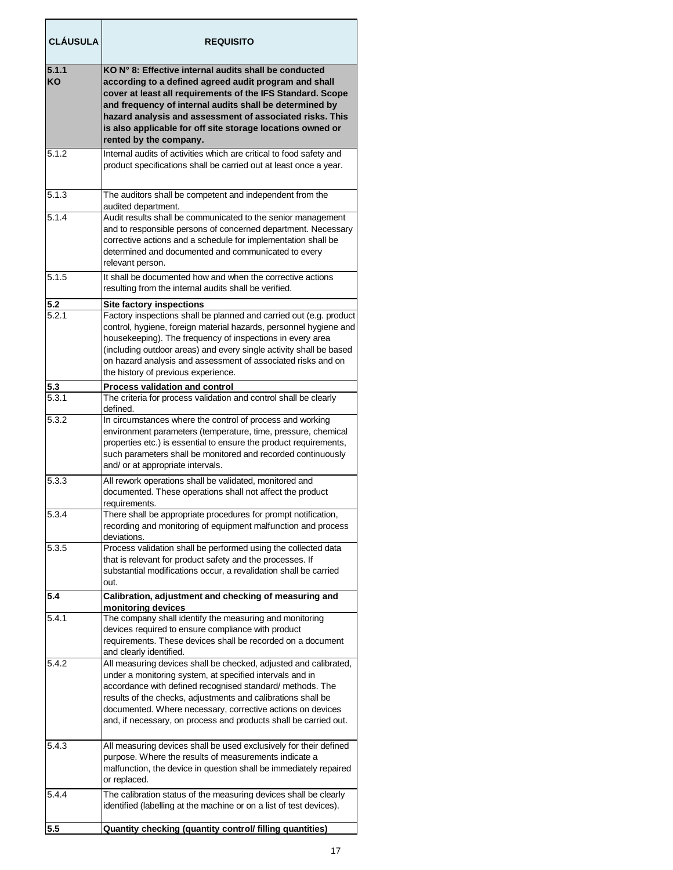| <b>CLÁUSULA</b>    | <b>REQUISITO</b>                                                                                                                                                                                                                                                                                                                                                                                                     |
|--------------------|----------------------------------------------------------------------------------------------------------------------------------------------------------------------------------------------------------------------------------------------------------------------------------------------------------------------------------------------------------------------------------------------------------------------|
| 5.1.1<br><b>KO</b> | KO N° 8: Effective internal audits shall be conducted<br>according to a defined agreed audit program and shall<br>cover at least all requirements of the IFS Standard. Scope<br>and frequency of internal audits shall be determined by<br>hazard analysis and assessment of associated risks. This<br>is also applicable for off site storage locations owned or<br>rented by the company.                          |
| 5.1.2              | Internal audits of activities which are critical to food safety and<br>product specifications shall be carried out at least once a year.                                                                                                                                                                                                                                                                             |
| 5.1.3              | The auditors shall be competent and independent from the<br>audited department.                                                                                                                                                                                                                                                                                                                                      |
| 5.1.4              | Audit results shall be communicated to the senior management<br>and to responsible persons of concerned department. Necessary<br>corrective actions and a schedule for implementation shall be<br>determined and documented and communicated to every<br>relevant person.                                                                                                                                            |
| 5.1.5              | It shall be documented how and when the corrective actions<br>resulting from the internal audits shall be verified.                                                                                                                                                                                                                                                                                                  |
| 5.2<br>5.2.1       | <b>Site factory inspections</b><br>Factory inspections shall be planned and carried out (e.g. product<br>control, hygiene, foreign material hazards, personnel hygiene and<br>housekeeping). The frequency of inspections in every area<br>(including outdoor areas) and every single activity shall be based<br>on hazard analysis and assessment of associated risks and on<br>the history of previous experience. |
| 5.3<br>5.3.1       | <b>Process validation and control</b><br>The criteria for process validation and control shall be clearly                                                                                                                                                                                                                                                                                                            |
|                    | defined.                                                                                                                                                                                                                                                                                                                                                                                                             |
| 5.3.2              | In circumstances where the control of process and working<br>environment parameters (temperature, time, pressure, chemical<br>properties etc.) is essential to ensure the product requirements,<br>such parameters shall be monitored and recorded continuously<br>and/ or at appropriate intervals.                                                                                                                 |
| 5.3.3              | All rework operations shall be validated, monitored and<br>documented. These operations shall not affect the product<br>requirements.                                                                                                                                                                                                                                                                                |
| 5.3.4              | There shall be appropriate procedures for prompt notification,<br>recording and monitoring of equipment malfunction and process<br>deviations.                                                                                                                                                                                                                                                                       |
| 5.3.5              | Process validation shall be performed using the collected data<br>that is relevant for product safety and the processes. If<br>substantial modifications occur, a revalidation shall be carried<br>out.                                                                                                                                                                                                              |
| 5.4                | Calibration, adjustment and checking of measuring and<br>monitoring devices                                                                                                                                                                                                                                                                                                                                          |
| 5.4.1              | The company shall identify the measuring and monitoring<br>devices required to ensure compliance with product<br>requirements. These devices shall be recorded on a document<br>and clearly identified.                                                                                                                                                                                                              |
| 5.4.2              | All measuring devices shall be checked, adjusted and calibrated,<br>under a monitoring system, at specified intervals and in<br>accordance with defined recognised standard/ methods. The<br>results of the checks, adjustments and calibrations shall be<br>documented. Where necessary, corrective actions on devices<br>and, if necessary, on process and products shall be carried out.                          |
| 5.4.3              | All measuring devices shall be used exclusively for their defined<br>purpose. Where the results of measurements indicate a<br>malfunction, the device in question shall be immediately repaired<br>or replaced.                                                                                                                                                                                                      |
| 5.4.4              | The calibration status of the measuring devices shall be clearly<br>identified (labelling at the machine or on a list of test devices).                                                                                                                                                                                                                                                                              |
| 5.5                | Quantity checking (quantity control/ filling quantities)                                                                                                                                                                                                                                                                                                                                                             |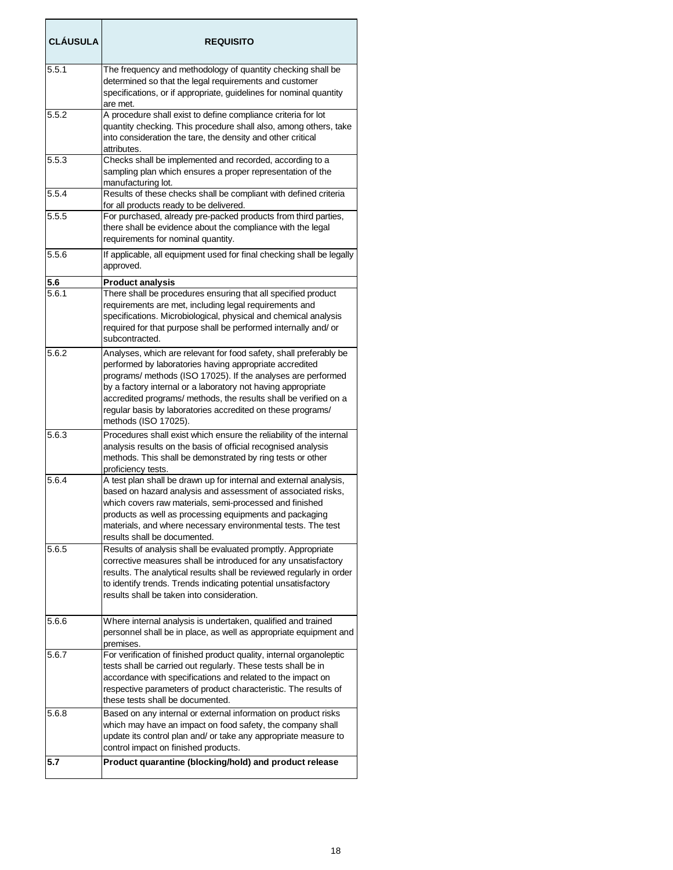| <b>CLÁUSULA</b>    | <b>REQUISITO</b>                                                                                                                                                                                                                                                                                                                                                                                                        |
|--------------------|-------------------------------------------------------------------------------------------------------------------------------------------------------------------------------------------------------------------------------------------------------------------------------------------------------------------------------------------------------------------------------------------------------------------------|
| 5.5.1              | The frequency and methodology of quantity checking shall be<br>determined so that the legal requirements and customer<br>specifications, or if appropriate, guidelines for nominal quantity<br>are met.                                                                                                                                                                                                                 |
| 5.5.2              | A procedure shall exist to define compliance criteria for lot<br>quantity checking. This procedure shall also, among others, take<br>into consideration the tare, the density and other critical<br>attributes.                                                                                                                                                                                                         |
| 5.5.3              | Checks shall be implemented and recorded, according to a<br>sampling plan which ensures a proper representation of the<br>manufacturing lot.                                                                                                                                                                                                                                                                            |
| 5.5.4              | Results of these checks shall be compliant with defined criteria<br>for all products ready to be delivered.                                                                                                                                                                                                                                                                                                             |
| 5.5.5              | For purchased, already pre-packed products from third parties,<br>there shall be evidence about the compliance with the legal<br>requirements for nominal quantity.                                                                                                                                                                                                                                                     |
| 5.5.6              | If applicable, all equipment used for final checking shall be legally<br>approved.                                                                                                                                                                                                                                                                                                                                      |
| 5.6                | <b>Product analysis</b>                                                                                                                                                                                                                                                                                                                                                                                                 |
| 5.6.1              | There shall be procedures ensuring that all specified product<br>requirements are met, including legal requirements and<br>specifications. Microbiological, physical and chemical analysis<br>required for that purpose shall be performed internally and/ or<br>subcontracted.                                                                                                                                         |
| 5.6.2              | Analyses, which are relevant for food safety, shall preferably be<br>performed by laboratories having appropriate accredited<br>programs/ methods (ISO 17025). If the analyses are performed<br>by a factory internal or a laboratory not having appropriate<br>accredited programs/ methods, the results shall be verified on a<br>regular basis by laboratories accredited on these programs/<br>methods (ISO 17025). |
| 5.6.3              | Procedures shall exist which ensure the reliability of the internal<br>analysis results on the basis of official recognised analysis<br>methods. This shall be demonstrated by ring tests or other<br>proficiency tests.                                                                                                                                                                                                |
| $\overline{5.6.4}$ | A test plan shall be drawn up for internal and external analysis,<br>based on hazard analysis and assessment of associated risks,<br>which covers raw materials, semi-processed and finished<br>products as well as processing equipments and packaging<br>materials, and where necessary environmental tests. The test<br>results shall be documented.                                                                 |
| 5.6.5              | Results of analysis shall be evaluated promptly. Appropriate<br>corrective measures shall be introduced for any unsatisfactory<br>results. The analytical results shall be reviewed regularly in order<br>to identify trends. Trends indicating potential unsatisfactory<br>results shall be taken into consideration.                                                                                                  |
| 5.6.6              | Where internal analysis is undertaken, qualified and trained<br>personnel shall be in place, as well as appropriate equipment and<br>premises.                                                                                                                                                                                                                                                                          |
| 5.6.7              | For verification of finished product quality, internal organoleptic<br>tests shall be carried out regularly. These tests shall be in<br>accordance with specifications and related to the impact on<br>respective parameters of product characteristic. The results of<br>these tests shall be documented.                                                                                                              |
| 5.6.8              | Based on any internal or external information on product risks<br>which may have an impact on food safety, the company shall<br>update its control plan and/ or take any appropriate measure to<br>control impact on finished products.                                                                                                                                                                                 |
| 5.7                | Product quarantine (blocking/hold) and product release                                                                                                                                                                                                                                                                                                                                                                  |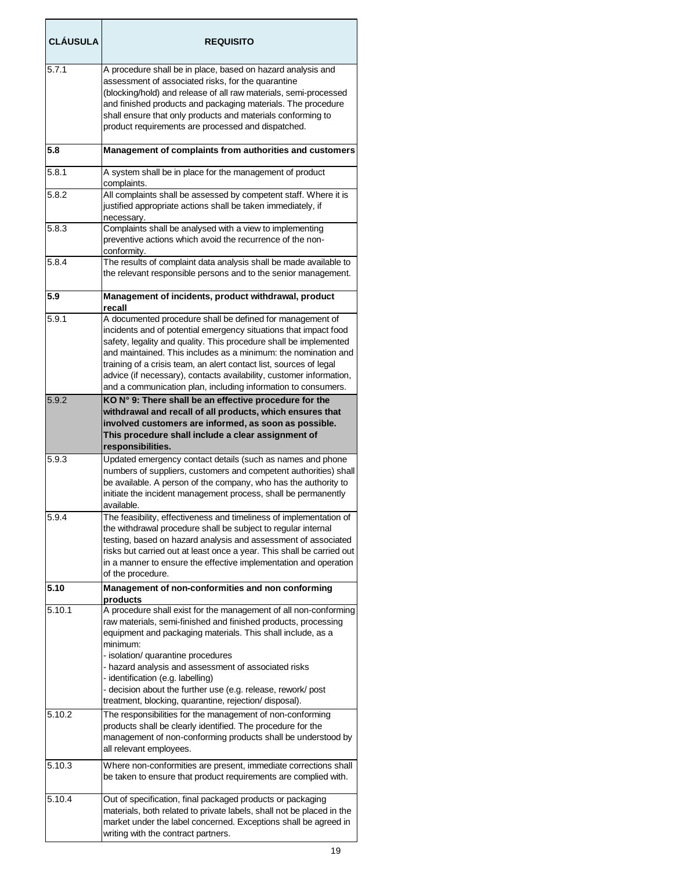| <b>CLÁUSULA</b> | <b>REQUISITO</b>                                                                                                                                                                                                                                                                                                                                                                                                                                                                   |
|-----------------|------------------------------------------------------------------------------------------------------------------------------------------------------------------------------------------------------------------------------------------------------------------------------------------------------------------------------------------------------------------------------------------------------------------------------------------------------------------------------------|
| 5.7.1           | A procedure shall be in place, based on hazard analysis and<br>assessment of associated risks, for the quarantine<br>(blocking/hold) and release of all raw materials, semi-processed<br>and finished products and packaging materials. The procedure<br>shall ensure that only products and materials conforming to<br>product requirements are processed and dispatched.                                                                                                         |
| 5.8             | Management of complaints from authorities and customers                                                                                                                                                                                                                                                                                                                                                                                                                            |
| 5.8.1           | A system shall be in place for the management of product<br>complaints.                                                                                                                                                                                                                                                                                                                                                                                                            |
| 5.8.2           | All complaints shall be assessed by competent staff. Where it is<br>justified appropriate actions shall be taken immediately, if<br>necessary.                                                                                                                                                                                                                                                                                                                                     |
| 5.8.3           | Complaints shall be analysed with a view to implementing<br>preventive actions which avoid the recurrence of the non-<br>conformity.                                                                                                                                                                                                                                                                                                                                               |
| 5.8.4           | The results of complaint data analysis shall be made available to<br>the relevant responsible persons and to the senior management.                                                                                                                                                                                                                                                                                                                                                |
| 5.9             | Management of incidents, product withdrawal, product<br>recall                                                                                                                                                                                                                                                                                                                                                                                                                     |
| 5.9.1           | A documented procedure shall be defined for management of<br>incidents and of potential emergency situations that impact food<br>safety, legality and quality. This procedure shall be implemented<br>and maintained. This includes as a minimum: the nomination and<br>training of a crisis team, an alert contact list, sources of legal<br>advice (if necessary), contacts availability, customer information,<br>and a communication plan, including information to consumers. |
| 5.9.2           | KO N° 9: There shall be an effective procedure for the<br>withdrawal and recall of all products, which ensures that<br>involved customers are informed, as soon as possible.<br>This procedure shall include a clear assignment of<br>responsibilities.                                                                                                                                                                                                                            |
| 5.9.3           | Updated emergency contact details (such as names and phone<br>numbers of suppliers, customers and competent authorities) shall<br>be available. A person of the company, who has the authority to<br>initiate the incident management process, shall be permanently<br>available.                                                                                                                                                                                                  |
| 5.9.4           | The feasibility, effectiveness and timeliness of implementation of<br>the withdrawal procedure shall be subject to regular internal<br>testing, based on hazard analysis and assessment of associated<br>risks but carried out at least once a year. This shall be carried out<br>in a manner to ensure the effective implementation and operation<br>of the procedure.                                                                                                            |
| 5.10            | Management of non-conformities and non conforming<br>products                                                                                                                                                                                                                                                                                                                                                                                                                      |
| 5.10.1          | A procedure shall exist for the management of all non-conforming<br>raw materials, semi-finished and finished products, processing<br>equipment and packaging materials. This shall include, as a<br>minimum:<br>- isolation/ quarantine procedures<br>- hazard analysis and assessment of associated risks<br>- identification (e.g. labelling)<br>- decision about the further use (e.g. release, rework/ post<br>treatment, blocking, quarantine, rejection/disposal).          |
| 5.10.2          | The responsibilities for the management of non-conforming<br>products shall be clearly identified. The procedure for the<br>management of non-conforming products shall be understood by<br>all relevant employees.                                                                                                                                                                                                                                                                |
| 5.10.3          | Where non-conformities are present, immediate corrections shall<br>be taken to ensure that product requirements are complied with.                                                                                                                                                                                                                                                                                                                                                 |
| 5.10.4          | Out of specification, final packaged products or packaging<br>materials, both related to private labels, shall not be placed in the<br>market under the label concerned. Exceptions shall be agreed in<br>writing with the contract partners.                                                                                                                                                                                                                                      |